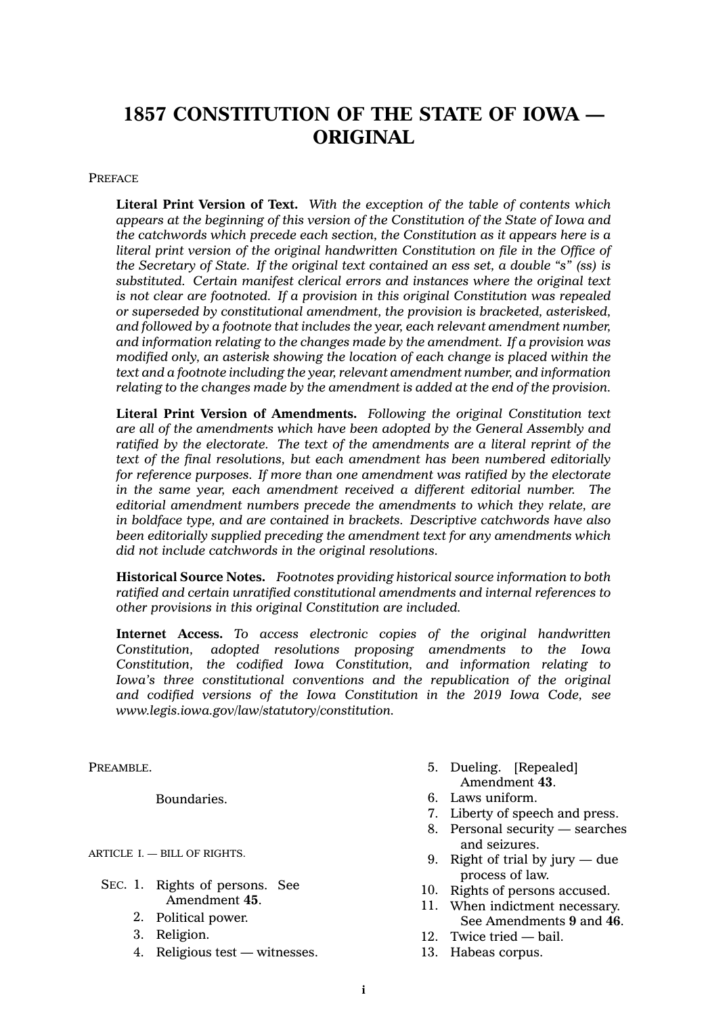# **1857 CONSTITUTION OF THE STATE OF IOWA — ORIGINAL**

# **PREFACE**

**Literal Print Version of Text.** *With the exception of the table of contents which appears at the beginning of this version of the Constitution of the State of Iowa and the catchwords which precede each section, the Constitution as it appears here is <sup>a</sup> literal print version of the original handwritten Constitution on file in the Office of the Secretary of State. If the original text contained an ess set, <sup>a</sup> double "s" (ss) is substituted. Certain manifest clerical errors and instances where the original text is not clear are footnoted. If <sup>a</sup> provision in this original Constitution was repealed or superseded by constitutional amendment, the provision is bracketed, asterisked, and followed by <sup>a</sup> footnote that includes the year, each relevant amendment number, and information relating to the changes made by the amendment. If <sup>a</sup> provision was modified only, an asterisk showing the location of each change is placed within the text and <sup>a</sup> footnote including the year, relevant amendment number, and information relating to the changes made by the amendment is added at the end of the provision.*

**Literal Print Version of Amendments.** *Following the original Constitution text are all of the amendments which have been adopted by the General Assembly and ratified by the electorate. The text of the amendments are <sup>a</sup> literal reprint of the text of the final resolutions, but each amendment has been numbered editorially for reference purposes. If more than one amendment was ratified by the electorate in the same year, each amendment received <sup>a</sup> different editorial number. The editorial amendment numbers precede the amendments to which they relate, are in boldface type, and are contained in brackets. Descriptive catchwords have also been editorially supplied preceding the amendment text for any amendments which did not include catchwords in the original resolutions.*

**Historical Source Notes.** *Footnotes providing historical source information to both ratified and certain unratified constitutional amendments and internal references to other provisions in this original Constitution are included.*

**Internet Access.** *To access electronic copies of the original handwritten Constitution, adopted resolutions proposing amendments to the Iowa Constitution, the codified Iowa Constitution, and information relating to Iowa's three constitutional conventions and the republication of the original and codified versions of the Iowa Constitution in the 2019 Iowa Code, see <www.legis.iowa.gov/law/statutory/constitution>.*

PREAMBLE.

Boundaries.

ARTICLE I. — BILL OF RIGHTS.

- SEC. 1. Rights of persons. See Amendment **45**.
	- 2. Political power.
	- 3. Religion.
	- 4. Religious test witnesses.
- 5. Dueling. [Repealed]
- Amendment **43**. 6. Laws uniform.
- 
- 7. Liberty of speech and press. 8. Personal security — searches
- and seizures.
- 9. Right of trial by jury due process of law.
- 10. Rights of persons accused.
- 11. When indictment necessary. See Amendments **9** and **46**.
- 12. Twice tried bail.
- 13. Habeas corpus.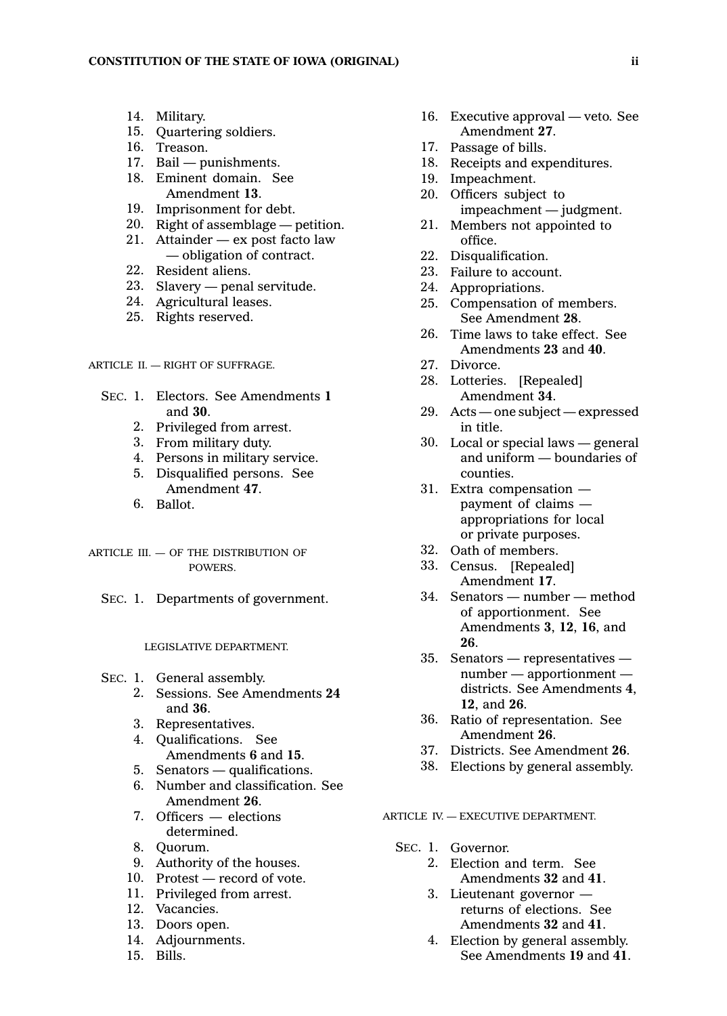- 14. Military.
- 15. Quartering soldiers.
- 16. Treason.
- 17. Bail punishments.
- 18. Eminent domain. See Amendment **13**.
- 19. Imprisonment for debt.
- 20. Right of assemblage petition.
- 21. Attainder ex post facto law — obligation of contract.
- 22. Resident aliens.
- 23. Slavery penal servitude.
- 24. Agricultural leases.
- 25. Rights reserved.

#### $ARTICLE$   $II$   $-$  RIGHT OF SUFFRAGE.

- SEC. 1. Electors. See Amendments **1** and **30**.
	- 2. Privileged from arrest.
	- 3. From military duty.
	- 4. Persons in military service.
	- 5. Disqualified persons. See Amendment **47**.
	- 6. Ballot.

ARTICLE  $III. -$  OF THE DISTRIBUTION OF **POWERS** 

SEC. 1. Departments of government.

#### LEGISLATIVE DEPARTMENT.

- SEC. 1. General assembly.
	- 2. Sessions. See Amendments **24** and **36**.
	- 3. Representatives.
	- 4. Qualifications. See Amendments **6** and **15**.
	- 5. Senators qualifications.
	- 6. Number and classification. See Amendment **26**.
	- 7. Officers elections determined.
	- 8. Quorum.
	- 9. Authority of the houses.
	- 10. Protest record of vote.
	- 11. Privileged from arrest.
	- 12. Vacancies.
	- 13. Doors open.
	- 14. Adjournments.
	- 15. Bills.
- 16. Executive approval veto. See Amendment **27**.
- 17. Passage of bills.
- 18. Receipts and expenditures.
- 19. Impeachment.
- 20. Officers subject to
- impeachment judgment. 21. Members not appointed to
- office. 22. Disqualification.
- 23. Failure to account.
- 24. Appropriations.
- 25. Compensation of members.
- See Amendment **28**.
- 26. Time laws to take effect. See Amendments **23** and **40**.
- 27. Divorce.
- 28. Lotteries. [Repealed] Amendment **34**.
- 29. Acts one subject expressed in title.
- 30. Local or special laws general and uniform — boundaries of counties.
- 31. Extra compensation payment of claims appropriations for local or private purposes.
- 32. Oath of members.
- 33. Census. [Repealed] Amendment **17**.
- 34. Senators number method of apportionment. See Amendments **3**, **12**, **16**, and **26**.
- 35. Senators representatives number — apportionment districts. See Amendments **4**, **12**, and **26**.
- 36. Ratio of representation. See Amendment **26**.
- 37. Districts. See Amendment **26**.
- 38. Elections by general assembly.

ARTICLE IV. — EXECUTIVE DEPARTMENT.

- SEC. 1. Governor.
	- 2. Election and term. See Amendments **32** and **41**.
	- 3. Lieutenant governor returns of elections. See Amendments **32** and **41**.
	- 4. Election by general assembly. See Amendments **19** and **41**.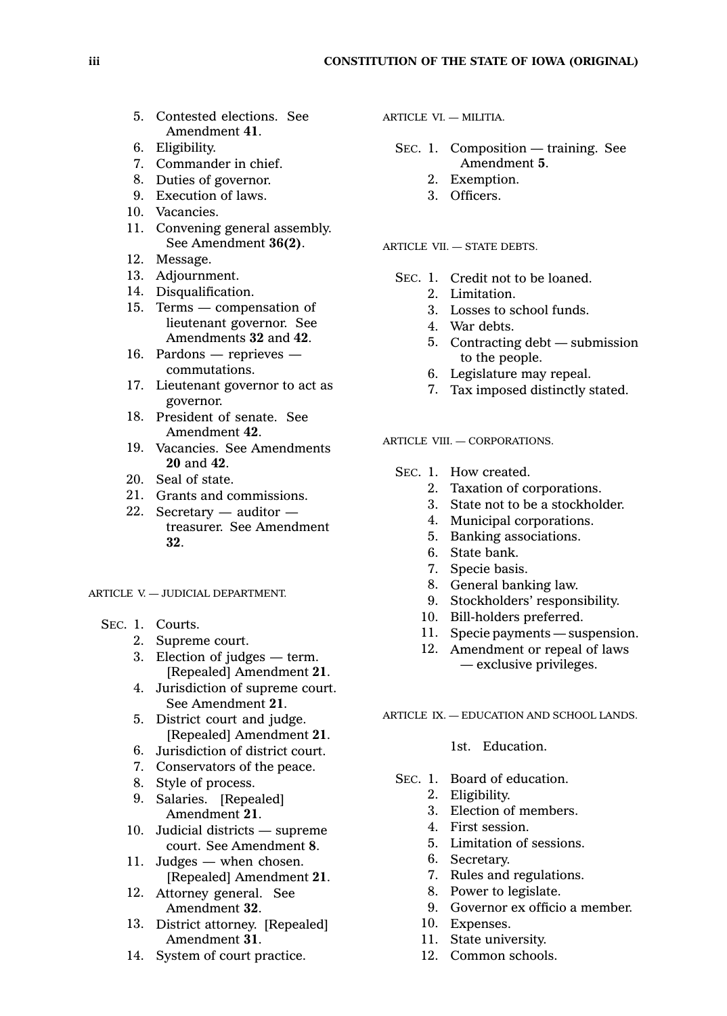- 5. Contested elections. See Amendment **41**.
- 6. Eligibility.
- 7. Commander in chief.
- 8. Duties of governor.
- 9. Execution of laws.
- 10. Vacancies.
- 11. Convening general assembly. See Amendment **36(2)**.
- 12. Message.
- 13. Adjournment.
- 14. Disqualification.
- 15. Terms compensation of lieutenant governor. See Amendments **32** and **42**.
- 16. Pardons reprieves commutations.
- 17. Lieutenant governor to act as governor.
- 18. President of senate. See Amendment **42**.
- 19. Vacancies. See Amendments **20** and **42**.
- 20. Seal of state.
- 21. Grants and commissions.
- 22. Secretary auditor treasurer. See Amendment **32**.
- ARTICLE V. JUDICIAL DEPARTMENT.
	- SEC. 1. Courts.
		- 2. Supreme court.
		- 3. Election of judges term. [Repealed] Amendment **21**.
		- 4. Jurisdiction of supreme court. See Amendment **21**.
		- 5. District court and judge. [Repealed] Amendment **21**.
		- 6. Jurisdiction of district court.
		- 7. Conservators of the peace.
		- 8. Style of process.
		- 9. Salaries. [Repealed] Amendment **21**.
		- 10. Judicial districts supreme court. See Amendment **8**.
		- 11. Judges when chosen. [Repealed] Amendment **21**.
		- 12. Attorney general. See Amendment **32**.
		- 13. District attorney. [Repealed] Amendment **31**.
		- 14. System of court practice.

ARTICLE VI. — MILITIA

- SEC. 1. Composition training. See Amendment **5**.
	- 2. Exemption.
	- 3. Officers.

ARTICLE VII. — STATE DEBTS.

- SEC. 1. Credit not to be loaned.
	- 2. Limitation.
	- 3. Losses to school funds.
	- 4. War debts.
	- 5. Contracting debt  $-$  submission to the people.
	- 6. Legislature may repeal.
	- 7. Tax imposed distinctly stated.

ARTICLE VIII. — CORPORATIONS.

- SEC. 1. How created.
	- 2. Taxation of corporations.
	- 3. State not to be <sup>a</sup> stockholder.
	- 4. Municipal corporations.
	- 5. Banking associations.
	- 6. State bank.
	- 7. Specie basis.
	- 8. General banking law.
	- 9. Stockholders' responsibility.
	- 10. Bill-holders preferred.
	- 11. Specie payments suspension.
	- 12. Amendment or repeal of laws — exclusive privileges.

ARTICLE IX. — EDUCATION AND SCHOOL LANDS.

1st. Education.

- SEC. 1. Board of education.
	- 2. Eligibility.
	- 3. Election of members.
	- 4. First session.
	- 5. Limitation of sessions.
	- 6. Secretary.
	- 7. Rules and regulations.
	- 8. Power to legislate.
	- 9. Governor ex officio <sup>a</sup> member.
	- 10. Expenses.
	- 11. State university.
	- 12. Common schools.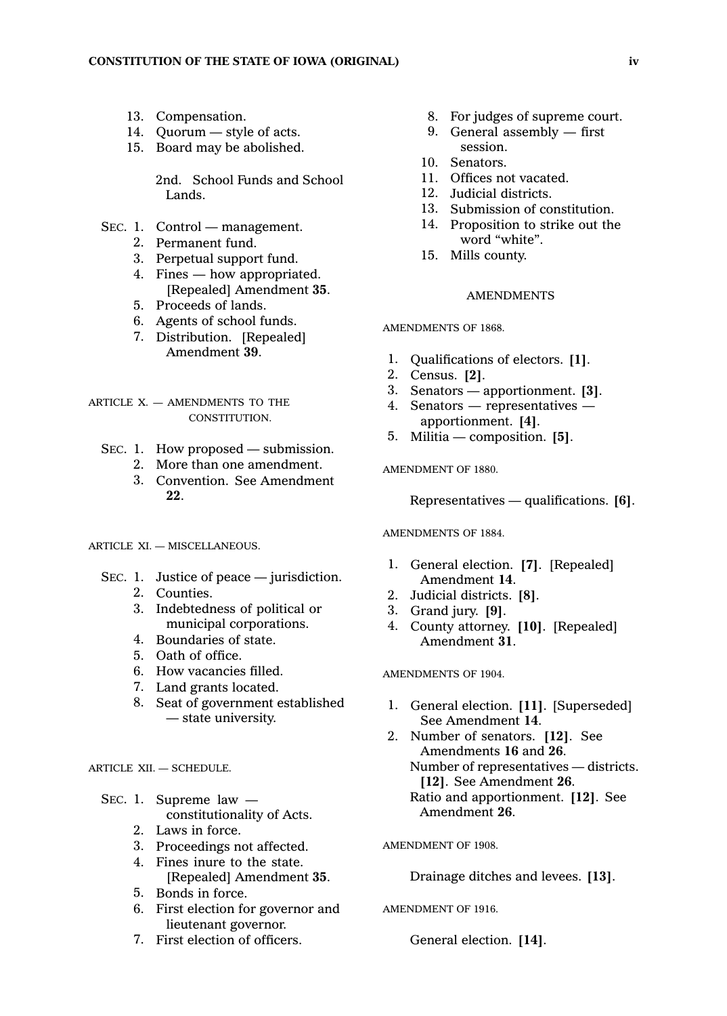- 13. Compensation.
- 14. Quorum style of acts.
- 15. Board may be abolished.

2nd. School Funds and School Lands.

- SEC. 1. Control management.
	- 2. Permanent fund.
	- 3. Perpetual support fund.
	- 4. Fines how appropriated. [Repealed] Amendment **35**.
	- 5. Proceeds of lands.
	- 6. Agents of school funds.
	- 7. Distribution. [Repealed] Amendment **39**.
- ARTICLE X. AMENDMENTS TO THE **CONSTITUTION** 
	- SEC. 1. How proposed submission.
		- 2. More than one amendment.
		- 3. Convention. See Amendment **22**.
- ARTICLE XI. MISCELLANEOUS.
	- SEC. 1. Justice of peace jurisdiction.
		- 2. Counties.
		- 3. Indebtedness of political or municipal corporations.
		- 4. Boundaries of state.
		- 5. Oath of office.
		- 6. How vacancies filled.
		- 7. Land grants located.
		- 8. Seat of government established — state university.

#### ARTICLE XII. — SCHEDULE.

- SEC. 1. Supreme law constitutionality of Acts.
	- 2. Laws in force.
	- 3. Proceedings not affected.
	- 4. Fines inure to the state. [Repealed] Amendment **35**.
	- 5. Bonds in force.
	- 6. First election for governor and lieutenant governor.
	- 7. First election of officers.
- 8. For judges of supreme court.
- 9. General assembly first session.
- 10. Senators.
- 11. Offices not vacated.
- 12. Judicial districts.
- 13. Submission of constitution.
- 14. Proposition to strike out the word "white".
- 15. Mills county.

## AMENDMENTS

AMENDMENTS OF 1868.

- 1. Qualifications of electors. **[1]**.
- 2. Census. **[2]**.
- 3. Senators apportionment. **[3]**. 4. Senators — representatives —
- apportionment. **[4]**.
- 5. Militia composition. **[5]**.

## AMENDMENT OF 1880.

#### Representatives — qualifications. **[6]**.

## AMENDMENTS OF 1884.

- 1. General election. **[7]**. [Repealed] Amendment **14**.
- 2. Judicial districts. **[8]**.
- 3. Grand jury. **[9]**.
- 4. County attorney. **[10]**. [Repealed] Amendment **31**.

# AMENDMENTS OF 1904.

- 1. General election. **[11]**. [Superseded] See Amendment **14**.
- 2. Number of senators. **[12]**. See Amendments **16** and **26**. Number of representatives — districts. **[12]**. See Amendment **26**. Ratio and apportionment. **[12]**. See Amendment **26**.

## AMENDMENT OF 1908.

# Drainage ditches and levees. **[13]**.

#### AMENDMENT OF 1916.

General election. **[14]**.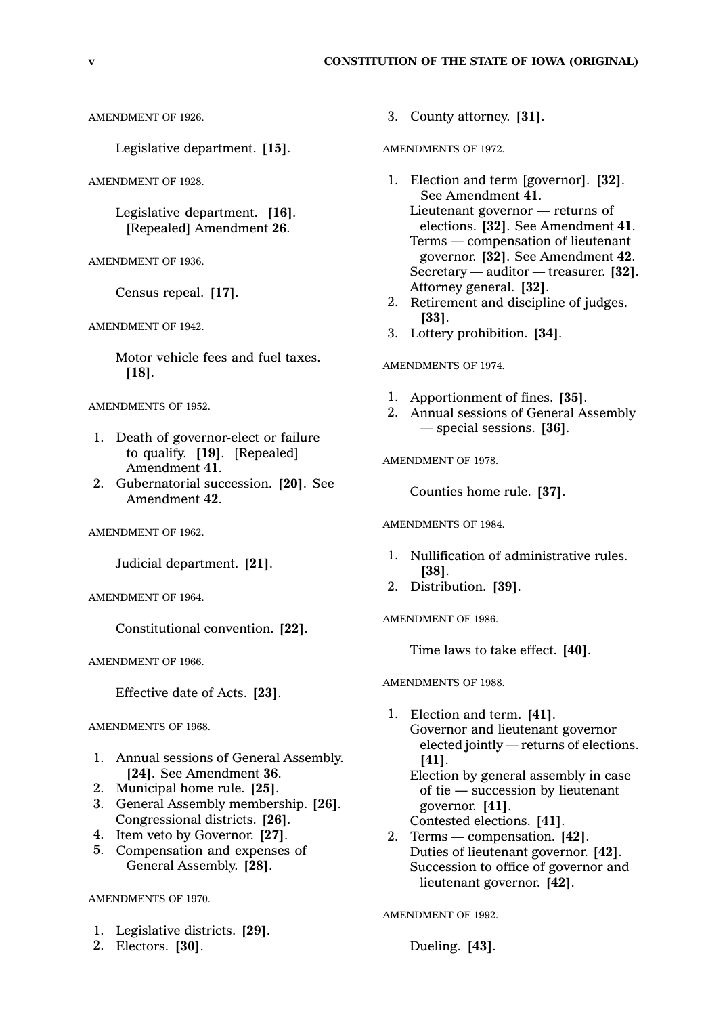## **<sup>v</sup> CONSTITUTION OF THE STATE OF IOWA (ORIGINAL)**

AMENDMENT OF 1926.

Legislative department. **[15]**.

AMENDMENT OF 1928.

Legislative department. **[16]**. [Repealed] Amendment **26**.

AMENDMENT OF 1936.

Census repeal. **[17]**.

AMENDMENT OF 1942.

Motor vehicle fees and fuel taxes. **[18]**.

AMENDMENTS OF 1952.

- 1. Death of governor-elect or failure to qualify. **[19]**. [Repealed] Amendment **41**.
- 2. Gubernatorial succession. **[20]**. See Amendment **42**.

AMENDMENT OF 1962.

Judicial department. **[21]**.

AMENDMENT OF 1964.

Constitutional convention. **[22]**.

AMENDMENT OF 1966.

Effective date of Acts. **[23]**.

AMENDMENTS OF 1968.

- 1. Annual sessions of General Assembly. **[24]**. See Amendment **36**.
- 2. Municipal home rule. **[25]**.
- 3. General Assembly membership. **[26]**. Congressional districts. **[26]**.
- 4. Item veto by Governor. **[27]**.
- 5. Compensation and expenses of General Assembly. **[28]**.

AMENDMENTS OF 1970.

- 1. Legislative districts. **[29]**.
- 2. Electors. **[30]**.

3. County attorney. **[31]**.

AMENDMENTS OF 1972.

- 1. Election and term [governor]. **[32]**. See Amendment **41**. Lieutenant governor — returns of elections. **[32]**. See Amendment **41**. Terms — compensation of lieutenant governor. **[32]**. See Amendment **42**. Secretary — auditor — treasurer. **[32]**. Attorney general. **[32]**.
- 2. Retirement and discipline of judges. **[33]**.
- 3. Lottery prohibition. **[34]**.

AMENDMENTS OF 1974.

- 1. Apportionment of fines. **[35]**.
- 2. Annual sessions of General Assembly — special sessions. **[36]**.

AMENDMENT OF 1978.

Counties home rule. **[37]**.

AMENDMENTS OF 1984.

- 1. Nullification of administrative rules. **[38]**.
- 2. Distribution. **[39]**.

AMENDMENT OF 1986.

Time laws to take effect. **[40]**.

AMENDMENTS OF 1988.

1. Election and term. **[41]**. Governor and lieutenant governor elected jointly — returns of elections. **[41]**. Election by general assembly in case of tie — succession by lieutenant

governor. **[41]**.

- Contested elections. **[41]**.
- 2. Terms compensation. **[42]**. Duties of lieutenant governor. **[42]**. Succession to office of governor and lieutenant governor. **[42]**.

AMENDMENT OF 1992.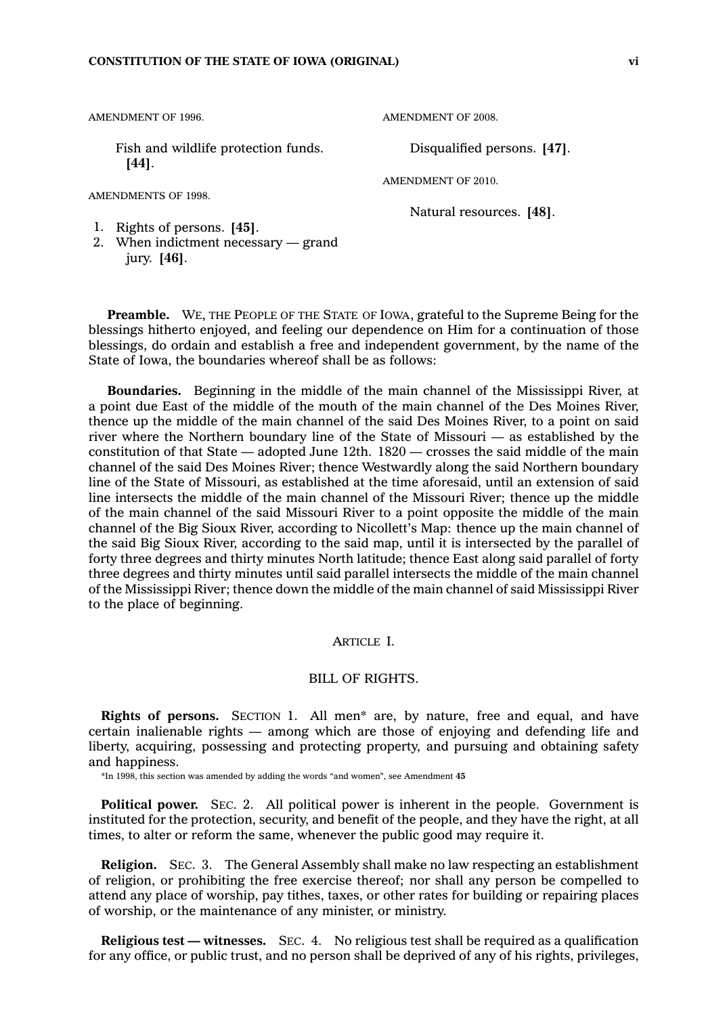AMENDMENT OF 1996.

Fish and wildlife protection funds. **[44]**.

AMENDMENTS OF 1998.

- 1. Rights of persons. **[45]**.
- 2. When indictment necessary grand jury. **[46]**.

**Preamble.** WE, THE PEOPLE OF THE STATE OF IOWA, grateful to the Supreme Being for the blessings hitherto enjoyed, and feeling our dependence on Him for <sup>a</sup> continuation of those blessings, do ordain and establish <sup>a</sup> free and independent government, by the name of the State of Iowa, the boundaries whereof shall be as follows:

**Boundaries.** Beginning in the middle of the main channel of the Mississippi River, at <sup>a</sup> point due East of the middle of the mouth of the main channel of the Des Moines River, thence up the middle of the main channel of the said Des Moines River, to <sup>a</sup> point on said river where the Northern boundary line of the State of Missouri  $-$  as established by the constitution of that State — adopted June 12th. 1820 — crosses the said middle of the main channel of the said Des Moines River; thence Westwardly along the said Northern boundary line of the State of Missouri, as established at the time aforesaid, until an extension of said line intersects the middle of the main channel of the Missouri River; thence up the middle of the main channel of the said Missouri River to <sup>a</sup> point opposite the middle of the main channel of the Big Sioux River, according to Nicollett's Map: thence up the main channel of the said Big Sioux River, according to the said map, until it is intersected by the parallel of forty three degrees and thirty minutes North latitude; thence East along said parallel of forty three degrees and thirty minutes until said parallel intersects the middle of the main channel of the Mississippi River; thence down the middle of the main channel of said Mississippi River to the place of beginning.

# **ARTICLE I.**

# BILL OF RIGHTS.

**Rights of persons.** SECTION 1. All men\* are, by nature, free and equal, and have certain inalienable rights — among which are those of enjoying and defending life and liberty, acquiring, possessing and protecting property, and pursuing and obtaining safety and happiness.

\*In 1998, this section was amended by adding the words "and women", see Amendment **45**

**Political power.** SEC. 2. All political power is inherent in the people. Government is instituted for the protection, security, and benefit of the people, and they have the right, at all times, to alter or reform the same, whenever the public good may require it.

**Religion.** SEC. 3. The General Assembly shall make no law respecting an establishment of religion, or prohibiting the free exercise thereof; nor shall any person be compelled to attend any place of worship, pay tithes, taxes, or other rates for building or repairing places of worship, or the maintenance of any minister, or ministry.

**Religious test —witnesses.** SEC. 4. No religious test shall be required as <sup>a</sup> qualification for any office, or public trust, and no person shall be deprived of any of his rights, privileges,

AMENDMENT OF 2008.

Disqualified persons. **[47]**.

AMENDMENT OF 2010.

Natural resources. **[48]**.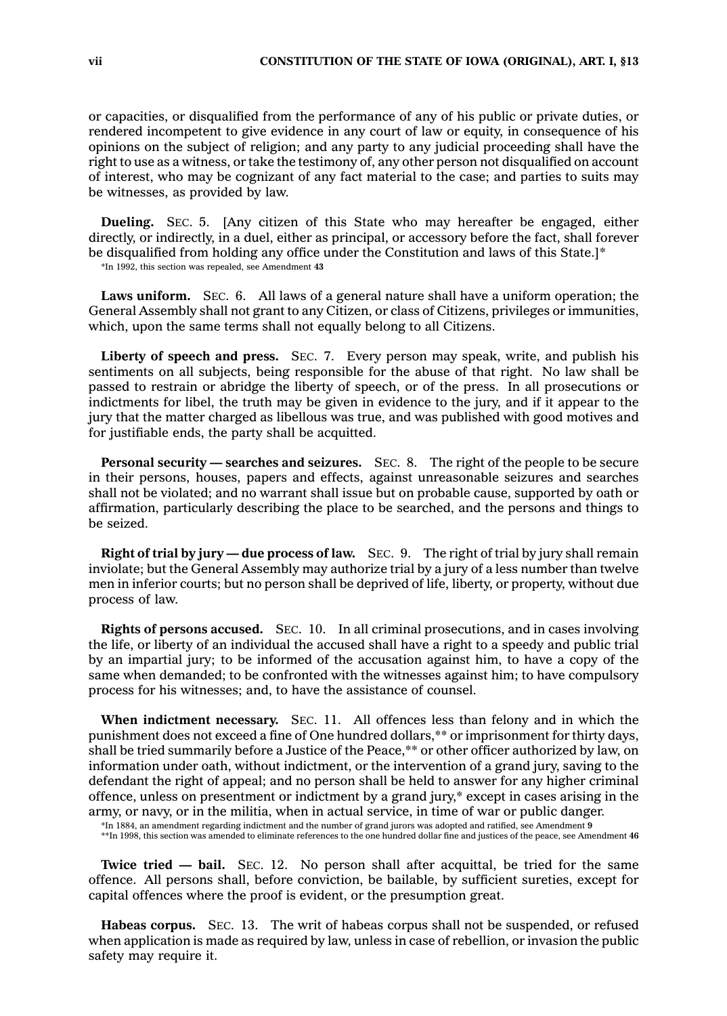or capacities, or disqualified from the performance of any of his public or private duties, or rendered incompetent to give evidence in any court of law or equity, in consequence of his opinions on the subject of religion; and any party to any judicial proceeding shall have the right to use as <sup>a</sup> witness, or take the testimony of, any other person not disqualified on account of interest, who may be cognizant of any fact material to the case; and parties to suits may be witnesses, as provided by law.

**Dueling.** SEC. 5. [Any citizen of this State who may hereafter be engaged, either directly, or indirectly, in <sup>a</sup> duel, either as principal, or accessory before the fact, shall forever be disqualified from holding any office under the Constitution and laws of this State.]\*

\*In 1992, this section was repealed, see Amendment **43**

**Laws uniform.** SEC. 6. All laws of <sup>a</sup> general nature shall have <sup>a</sup> uniform operation; the General Assembly shall not grant to any Citizen, or class of Citizens, privileges or immunities, which, upon the same terms shall not equally belong to all Citizens.

**Liberty of speech and press.** SEC. 7. Every person may speak, write, and publish his sentiments on all subjects, being responsible for the abuse of that right. No law shall be passed to restrain or abridge the liberty of speech, or of the press. In all prosecutions or indictments for libel, the truth may be given in evidence to the jury, and if it appear to the jury that the matter charged as libellous was true, and was published with good motives and for justifiable ends, the party shall be acquitted.

**Personal security — searches and seizures.** SEC. 8. The right of the people to be secure in their persons, houses, papers and effects, against unreasonable seizures and searches shall not be violated; and no warrant shall issue but on probable cause, supported by oath or affirmation, particularly describing the place to be searched, and the persons and things to be seized.

**Right of trial by jury — due process of law.** SEC. 9. The right of trial by jury shall remain inviolate; but the General Assembly may authorize trial by <sup>a</sup> jury of <sup>a</sup> less number than twelve men in inferior courts; but no person shall be deprived of life, liberty, or property, without due process of law.

**Rights of persons accused.** SEC. 10. In all criminal prosecutions, and in cases involving the life, or liberty of an individual the accused shall have <sup>a</sup> right to <sup>a</sup> speedy and public trial by an impartial jury; to be informed of the accusation against him, to have <sup>a</sup> copy of the same when demanded; to be confronted with the witnesses against him; to have compulsory process for his witnesses; and, to have the assistance of counsel.

**When indictment necessary.** SEC. 11. All offences less than felony and in which the punishment does not exceed <sup>a</sup> fine of One hundred dollars,\*\* or imprisonment for thirty days, shall be tried summarily before <sup>a</sup> Justice of the Peace,\*\* or other officer authorized by law, on information under oath, without indictment, or the intervention of <sup>a</sup> grand jury, saving to the defendant the right of appeal; and no person shall be held to answer for any higher criminal offence, unless on presentment or indictment by <sup>a</sup> grand jury,\* except in cases arising in the army, or navy, or in the militia, when in actual service, in time of war or public danger.

\*In 1884, an amendment regarding indictment and the number of grand jurors was adopted and ratified, see Amendment **9**

\*\*In 1998, this section was amended to eliminate references to the one hundred dollar fine and justices of the peace, see Amendment **46**

**Twice tried — bail.** SEC. 12. No person shall after acquittal, be tried for the same offence. All persons shall, before conviction, be bailable, by sufficient sureties, except for capital offences where the proof is evident, or the presumption great.

**Habeas corpus.** SEC. 13. The writ of habeas corpus shall not be suspended, or refused when application is made as required by law, unless in case of rebellion, or invasion the public safety may require it.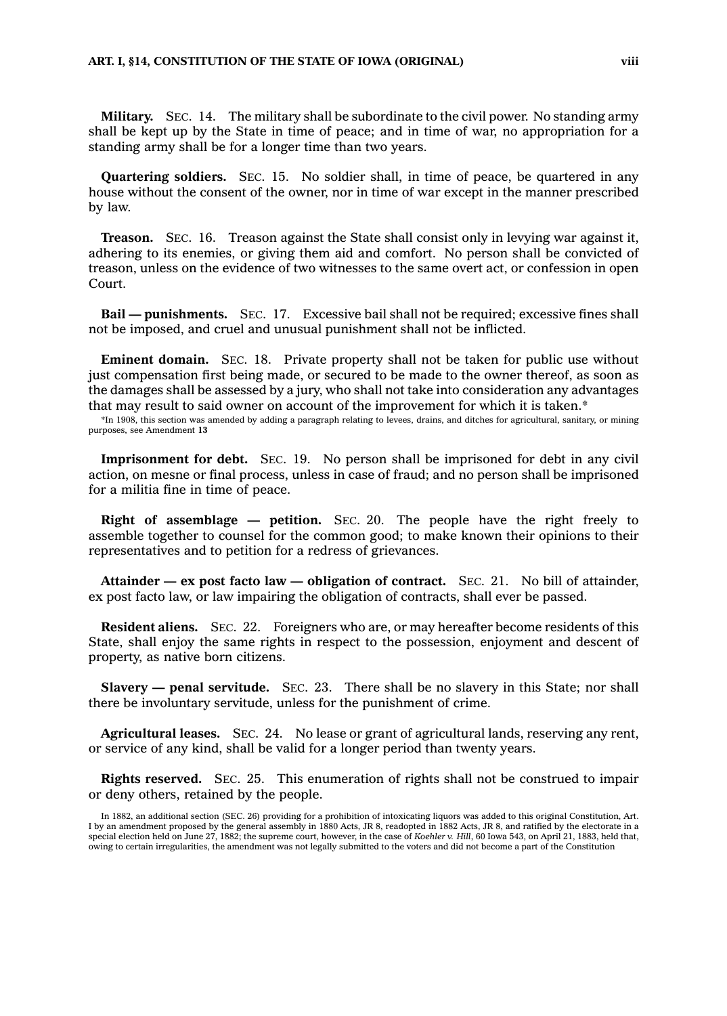**Military.** SEC. 14. The military shall be subordinate to the civil power. No standing army shall be kept up by the State in time of peace; and in time of war, no appropriation for <sup>a</sup> standing army shall be for <sup>a</sup> longer time than two years.

**Quartering soldiers.** SEC. 15. No soldier shall, in time of peace, be quartered in any house without the consent of the owner, nor in time of war except in the manner prescribed by law.

**Treason.** SEC. 16. Treason against the State shall consist only in levying war against it, adhering to its enemies, or giving them aid and comfort. No person shall be convicted of treason, unless on the evidence of two witnesses to the same overt act, or confession in open Court.

**Bail —punishments.** SEC. 17. Excessive bail shall not be required; excessive fines shall not be imposed, and cruel and unusual punishment shall not be inflicted.

**Eminent domain.** SEC. 18. Private property shall not be taken for public use without just compensation first being made, or secured to be made to the owner thereof, as soon as the damages shall be assessed by <sup>a</sup> jury, who shall not take into consideration any advantages that may result to said owner on account of the improvement for which it is taken.\*

\*In 1908, this section was amended by adding <sup>a</sup> paragraph relating to levees, drains, and ditches for agricultural, sanitary, or mining purposes, see Amendment **13**

**Imprisonment for debt.** SEC. 19. No person shall be imprisoned for debt in any civil action, on mesne or final process, unless in case of fraud; and no person shall be imprisoned for <sup>a</sup> militia fine in time of peace.

**Right of assemblage — petition.** SEC. 20. The people have the right freely to assemble together to counsel for the common good; to make known their opinions to their representatives and to petition for <sup>a</sup> redress of grievances.

**Attainder — ex post facto law — obligation of contract.** SEC. 21. No bill of attainder, ex post facto law, or law impairing the obligation of contracts, shall ever be passed.

**Resident aliens.** SEC. 22. Foreigners who are, or may hereafter become residents of this State, shall enjoy the same rights in respect to the possession, enjoyment and descent of property, as native born citizens.

**Slavery — penal servitude.** SEC. 23. There shall be no slavery in this State; nor shall there be involuntary servitude, unless for the punishment of crime.

**Agricultural leases.** SEC. 24. No lease or grant of agricultural lands, reserving any rent, or service of any kind, shall be valid for <sup>a</sup> longer period than twenty years.

**Rights reserved.** SEC. 25. This enumeration of rights shall not be construed to impair or deny others, retained by the people.

In 1882, an additional section (SEC. 26) providing for <sup>a</sup> prohibition of intoxicating liquors was added to this original Constitution, Art. I by an amendment proposed by the general assembly in 1880 Acts, JR 8, readopted in 1882 Acts, JR 8, and ratified by the electorate in <sup>a</sup> special election held on June 27, 1882; the supreme court, however, in the case of *Koehler v. Hill*, 60 Iowa 543, on April 21, 1883, held that, owing to certain irregularities, the amendment was not legally submitted to the voters and did not become <sup>a</sup> part of the Constitution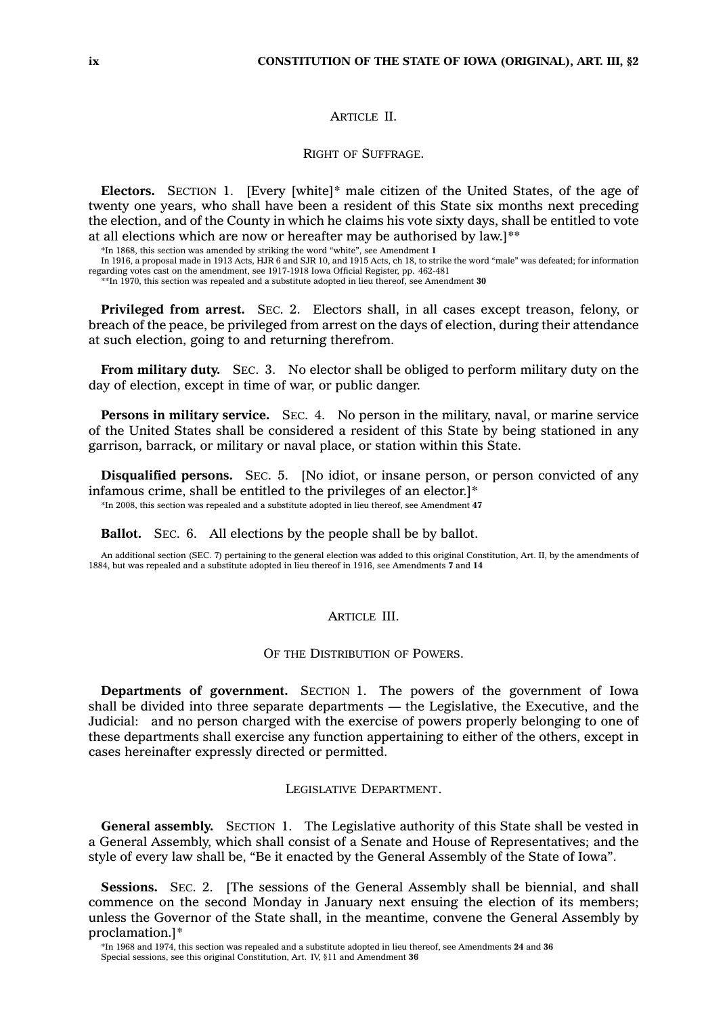# ARTICLE II.

## RIGHT OF SUFFRAGE.

**Electors.** SECTION 1. [Every [white]\* male citizen of the United States, of the age of twenty one years, who shall have been <sup>a</sup> resident of this State six months next preceding the election, and of the County in which he claims his vote sixty days, shall be entitled to vote at all elections which are now or hereafter may be authorised by law.]\*\*

\*In 1868, this section was amended by striking the word "white", see Amendment **1**

In 1916, <sup>a</sup> proposal made in 1913 Acts, HJR 6 and SJR 10, and 1915 Acts, ch 18, to strike the word "male" was defeated; for information regarding votes cast on the amendment, see 1917-1918 Iowa Official Register, pp. 462-481

\*\*In 1970, this section was repealed and <sup>a</sup> substitute adopted in lieu thereof, see Amendment **30**

**Privileged from arrest.** SEC. 2. Electors shall, in all cases except treason, felony, or breach of the peace, be privileged from arrest on the days of election, during their attendance at such election, going to and returning therefrom.

**From military duty.** SEC. 3. No elector shall be obliged to perform military duty on the day of election, except in time of war, or public danger.

**Persons in military service.** SEC. 4. No person in the military, naval, or marine service of the United States shall be considered <sup>a</sup> resident of this State by being stationed in any garrison, barrack, or military or naval place, or station within this State.

**Disqualified persons.** SEC. 5. [No idiot, or insane person, or person convicted of any infamous crime, shall be entitled to the privileges of an elector.]\*

\*In 2008, this section was repealed and <sup>a</sup> substitute adopted in lieu thereof, see Amendment **47**

**Ballot.** SEC. 6. All elections by the people shall be by ballot.

An additional section (SEC. 7) pertaining to the general election was added to this original Constitution, Art. II, by the amendments of 1884, but was repealed and <sup>a</sup> substitute adopted in lieu thereof in 1916, see Amendments **7** and **14**

# ARTICLE III.

OF THE DISTRIBUTION OF POWERS.

**Departments of government.** SECTION 1. The powers of the government of Iowa shall be divided into three separate departments — the Legislative, the Executive, and the Judicial: and no person charged with the exercise of powers properly belonging to one of these departments shall exercise any function appertaining to either of the others, except in cases hereinafter expressly directed or permitted.

# LEGISLATIVE DEPARTMENT.

**General assembly.** SECTION 1. The Legislative authority of this State shall be vested in <sup>a</sup> General Assembly, which shall consist of <sup>a</sup> Senate and House of Representatives; and the style of every law shall be, "Be it enacted by the General Assembly of the State of Iowa".

**Sessions.** SEC. 2. [The sessions of the General Assembly shall be biennial, and shall commence on the second Monday in January next ensuing the election of its members; unless the Governor of the State shall, in the meantime, convene the General Assembly by proclamation.]\*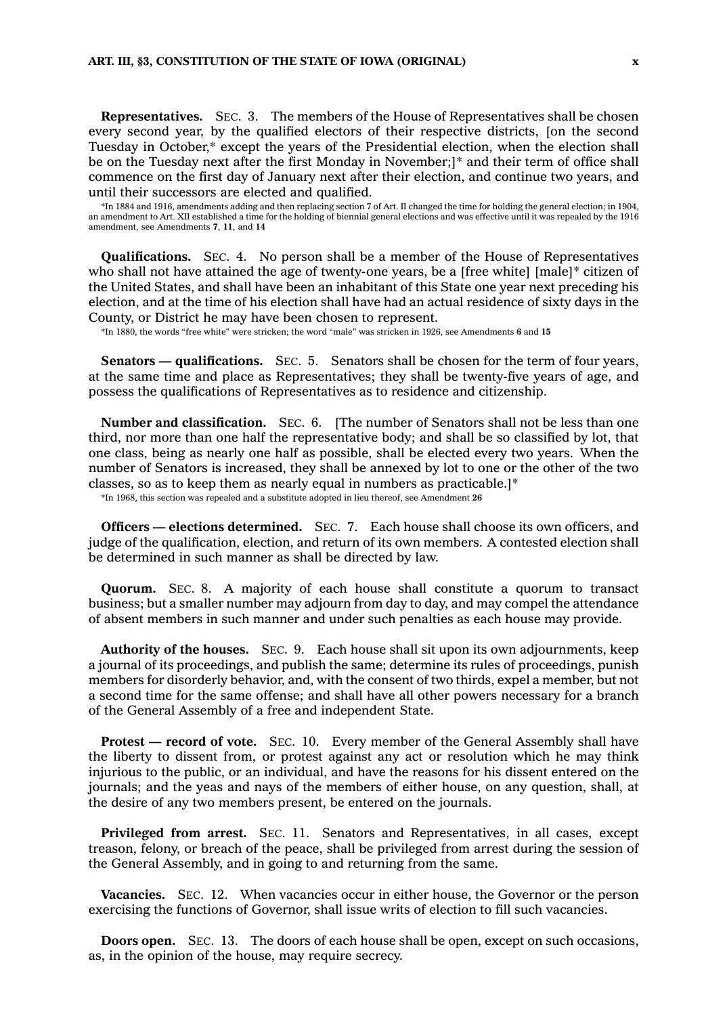**Representatives.** SEC. 3. The members of the House of Representatives shall be chosen every second year, by the qualified electors of their respective districts, [on the second Tuesday in October,\* except the years of the Presidential election, when the election shall be on the Tuesday next after the first Monday in November;]\* and their term of office shall commence on the first day of January next after their election, and continue two years, and until their successors are elected and qualified.

\*In 1884 and 1916, amendments adding and then replacing section 7 of Art. II changed the time for holding the general election; in 1904, an amendment to Art. XII established <sup>a</sup> time for the holding of biennial general elections and was effective until it was repealed by the 1916 amendment, see Amendments **7**, **11**, and **14**

**Qualifications.** SEC. 4. No person shall be <sup>a</sup> member of the House of Representatives who shall not have attained the age of twenty-one years, be a [free white] [male]\* citizen of the United States, and shall have been an inhabitant of this State one year next preceding his election, and at the time of his election shall have had an actual residence of sixty days in the County, or District he may have been chosen to represent.

\*In 1880, the words "free white" were stricken; the word "male" was stricken in 1926, see Amendments **6** and **15**

**Senators — qualifications.** SEC. 5. Senators shall be chosen for the term of four years, at the same time and place as Representatives; they shall be twenty-five years of age, and possess the qualifications of Representatives as to residence and citizenship.

**Number and classification.** SEC. 6. [The number of Senators shall not be less than one third, nor more than one half the representative body; and shall be so classified by lot, that one class, being as nearly one half as possible, shall be elected every two years. When the number of Senators is increased, they shall be annexed by lot to one or the other of the two classes, so as to keep them as nearly equal in numbers as practicable.]\*

\*In 1968, this section was repealed and <sup>a</sup> substitute adopted in lieu thereof, see Amendment **26**

**Officers — elections determined.** SEC. 7. Each house shall choose its own officers, and judge of the qualification, election, and return of its own members. A contested election shall be determined in such manner as shall be directed by law.

**Quorum.** SEC. 8. A majority of each house shall constitute <sup>a</sup> quorum to transact business; but <sup>a</sup> smaller number may adjourn from day to day, and may compel the attendance of absent members in such manner and under such penalties as each house may provide.

**Authority of the houses.** SEC. 9. Each house shall sit upon its own adjournments, keep <sup>a</sup> journal of its proceedings, and publish the same; determine its rules of proceedings, punish members for disorderly behavior, and, with the consent of two thirds, expel <sup>a</sup> member, but not <sup>a</sup> second time for the same offense; and shall have all other powers necessary for <sup>a</sup> branch of the General Assembly of <sup>a</sup> free and independent State.

**Protest — record of vote.** SEC. 10. Every member of the General Assembly shall have the liberty to dissent from, or protest against any act or resolution which he may think injurious to the public, or an individual, and have the reasons for his dissent entered on the journals; and the yeas and nays of the members of either house, on any question, shall, at the desire of any two members present, be entered on the journals.

**Privileged from arrest.** SEC. 11. Senators and Representatives, in all cases, except treason, felony, or breach of the peace, shall be privileged from arrest during the session of the General Assembly, and in going to and returning from the same.

**Vacancies.** SEC. 12. When vacancies occur in either house, the Governor or the person exercising the functions of Governor, shall issue writs of election to fill such vacancies.

**Doors open.** SEC. 13. The doors of each house shall be open, except on such occasions, as, in the opinion of the house, may require secrecy.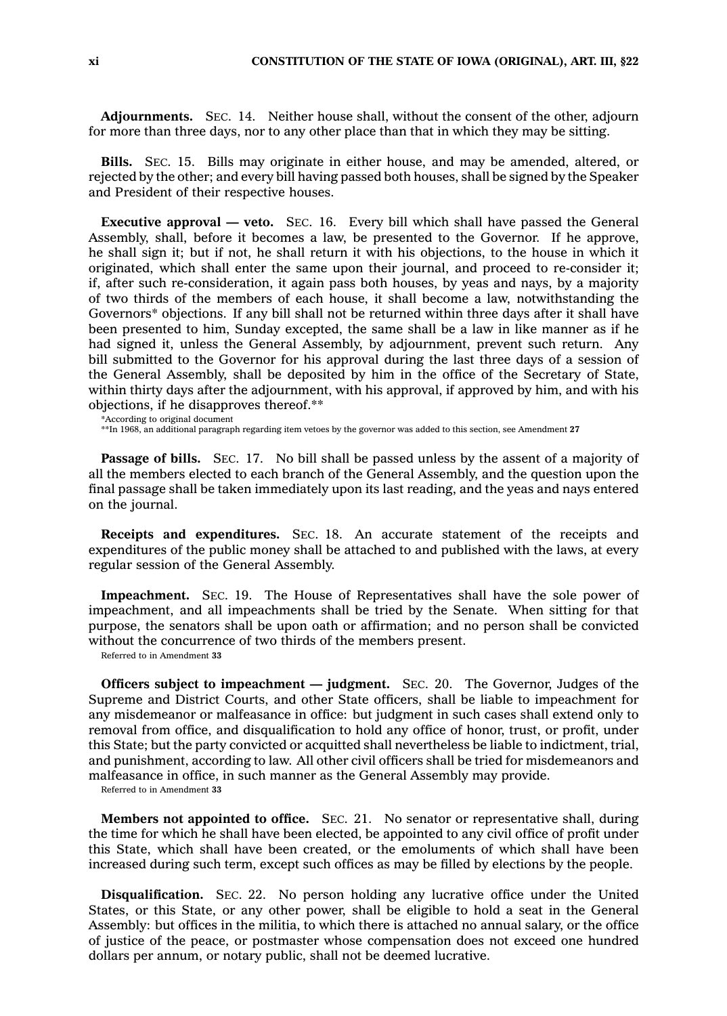**Adjournments.** SEC. 14. Neither house shall, without the consent of the other, adjourn for more than three days, nor to any other place than that in which they may be sitting.

**Bills.** SEC. 15. Bills may originate in either house, and may be amended, altered, or rejected by the other; and every bill having passed both houses, shall be signed by the Speaker and President of their respective houses.

**Executive approval — veto.** SEC. 16. Every bill which shall have passed the General Assembly, shall, before it becomes <sup>a</sup> law, be presented to the Governor. If he approve, he shall sign it; but if not, he shall return it with his objections, to the house in which it originated, which shall enter the same upon their journal, and proceed to re-consider it; if, after such re-consideration, it again pass both houses, by yeas and nays, by <sup>a</sup> majority of two thirds of the members of each house, it shall become <sup>a</sup> law, notwithstanding the Governors\* objections. If any bill shall not be returned within three days after it shall have been presented to him, Sunday excepted, the same shall be <sup>a</sup> law in like manner as if he had signed it, unless the General Assembly, by adjournment, prevent such return. Any bill submitted to the Governor for his approval during the last three days of <sup>a</sup> session of the General Assembly, shall be deposited by him in the office of the Secretary of State, within thirty days after the adjournment, with his approval, if approved by him, and with his objections, if he disapproves thereof.\*\*

\*According to original document \*\*In 1968, an additional paragraph regarding item vetoes by the governor was added to this section, see Amendment **27**

**Passage of bills.** SEC. 17. No bill shall be passed unless by the assent of <sup>a</sup> majority of all the members elected to each branch of the General Assembly, and the question upon the final passage shall be taken immediately upon its last reading, and the yeas and nays entered on the journal.

**Receipts and expenditures.** SEC. 18. An accurate statement of the receipts and expenditures of the public money shall be attached to and published with the laws, at every regular session of the General Assembly.

**Impeachment.** SEC. 19. The House of Representatives shall have the sole power of impeachment, and all impeachments shall be tried by the Senate. When sitting for that purpose, the senators shall be upon oath or affirmation; and no person shall be convicted without the concurrence of two thirds of the members present.

Referred to in Amendment **33**

**Officers subject to impeachment — judgment.** SEC. 20. The Governor, Judges of the Supreme and District Courts, and other State officers, shall be liable to impeachment for any misdemeanor or malfeasance in office: but judgment in such cases shall extend only to removal from office, and disqualification to hold any office of honor, trust, or profit, under this State; but the party convicted or acquitted shall nevertheless be liable to indictment, trial, and punishment, according to law. All other civil officers shall be tried for misdemeanors and malfeasance in office, in such manner as the General Assembly may provide.

Referred to in Amendment **33**

**Members not appointed to office.** SEC. 21. No senator or representative shall, during the time for which he shall have been elected, be appointed to any civil office of profit under this State, which shall have been created, or the emoluments of which shall have been increased during such term, except such offices as may be filled by elections by the people.

**Disqualification.** SEC. 22. No person holding any lucrative office under the United States, or this State, or any other power, shall be eligible to hold <sup>a</sup> seat in the General Assembly: but offices in the militia, to which there is attached no annual salary, or the office of justice of the peace, or postmaster whose compensation does not exceed one hundred dollars per annum, or notary public, shall not be deemed lucrative.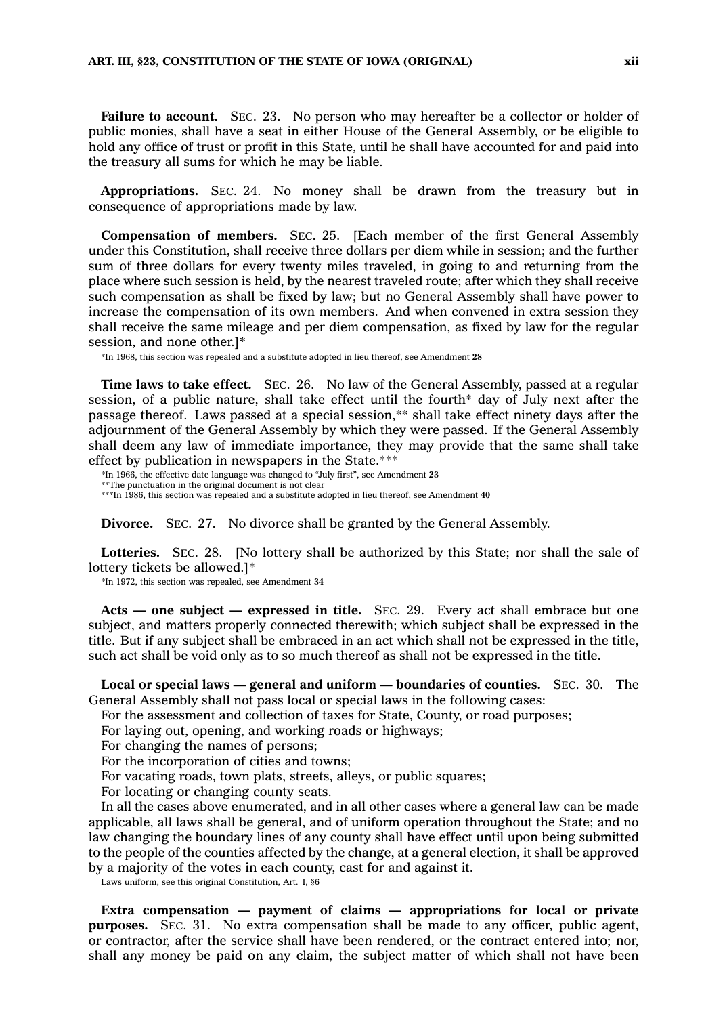**Failure to account.** SEC. 23. No person who may hereafter be <sup>a</sup> collector or holder of public monies, shall have <sup>a</sup> seat in either House of the General Assembly, or be eligible to hold any office of trust or profit in this State, until he shall have accounted for and paid into the treasury all sums for which he may be liable.

**Appropriations.** SEC. 24. No money shall be drawn from the treasury but in consequence of appropriations made by law.

**Compensation of members.** SEC. 25. [Each member of the first General Assembly under this Constitution, shall receive three dollars per diem while in session; and the further sum of three dollars for every twenty miles traveled, in going to and returning from the place where such session is held, by the nearest traveled route; after which they shall receive such compensation as shall be fixed by law; but no General Assembly shall have power to increase the compensation of its own members. And when convened in extra session they shall receive the same mileage and per diem compensation, as fixed by law for the regular session, and none other.]\*

\*In 1968, this section was repealed and <sup>a</sup> substitute adopted in lieu thereof, see Amendment **28**

**Time laws to take effect.** SEC. 26. No law of the General Assembly, passed at <sup>a</sup> regular session, of <sup>a</sup> public nature, shall take effect until the fourth\* day of July next after the passage thereof. Laws passed at <sup>a</sup> special session,\*\* shall take effect ninety days after the adjournment of the General Assembly by which they were passed. If the General Assembly shall deem any law of immediate importance, they may provide that the same shall take effect by publication in newspapers in the State.\*\*\*

\*In 1966, the effective date language was changed to "July first", see Amendment **23**

\*\*The punctuation in the original document is not clear

\*\*\*In 1986, this section was repealed and <sup>a</sup> substitute adopted in lieu thereof, see Amendment **40**

**Divorce.** SEC. 27. No divorce shall be granted by the General Assembly.

Lotteries. SEC. 28. [No lottery shall be authorized by this State; nor shall the sale of lottery tickets be allowed.]\*

\*In 1972, this section was repealed, see Amendment **34**

**Acts — one subject — expressed in title.** SEC. 29. Every act shall embrace but one subject, and matters properly connected therewith; which subject shall be expressed in the title. But if any subject shall be embraced in an act which shall not be expressed in the title, such act shall be void only as to so much thereof as shall not be expressed in the title.

**Local or special laws — general and uniform — boundaries of counties.** SEC. 30. The General Assembly shall not pass local or special laws in the following cases:

For the assessment and collection of taxes for State, County, or road purposes;

For laying out, opening, and working roads or highways;

For changing the names of persons;

For the incorporation of cities and towns;

For vacating roads, town plats, streets, alleys, or public squares;

For locating or changing county seats.

In all the cases above enumerated, and in all other cases where <sup>a</sup> general law can be made applicable, all laws shall be general, and of uniform operation throughout the State; and no law changing the boundary lines of any county shall have effect until upon being submitted to the people of the counties affected by the change, at <sup>a</sup> general election, it shall be approved by <sup>a</sup> majority of the votes in each county, cast for and against it.

Laws uniform, see this original Constitution, Art. I, §6

**Extra compensation — payment of claims — appropriations for local or private purposes.** SEC. 31. No extra compensation shall be made to any officer, public agent, or contractor, after the service shall have been rendered, or the contract entered into; nor, shall any money be paid on any claim, the subject matter of which shall not have been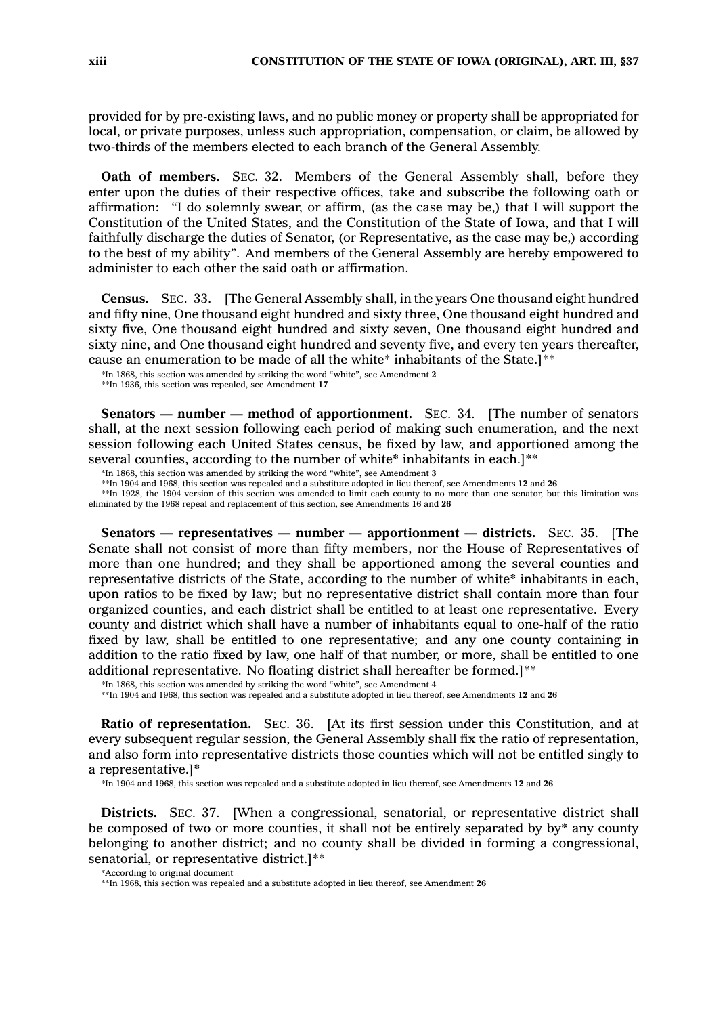provided for by pre-existing laws, and no public money or property shall be appropriated for local, or private purposes, unless such appropriation, compensation, or claim, be allowed by two-thirds of the members elected to each branch of the General Assembly.

**Oath of members.** SEC. 32. Members of the General Assembly shall, before they enter upon the duties of their respective offices, take and subscribe the following oath or affirmation: "I do solemnly swear, or affirm, (as the case may be,) that I will support the Constitution of the United States, and the Constitution of the State of Iowa, and that I will faithfully discharge the duties of Senator, (or Representative, as the case may be,) according to the best of my ability". And members of the General Assembly are hereby empowered to administer to each other the said oath or affirmation.

**Census.** SEC. 33. [The General Assembly shall, in the years One thousand eight hundred and fifty nine, One thousand eight hundred and sixty three, One thousand eight hundred and sixty five, One thousand eight hundred and sixty seven, One thousand eight hundred and sixty nine, and One thousand eight hundred and seventy five, and every ten years thereafter, cause an enumeration to be made of all the white\* inhabitants of the State.]\*\*

\*In 1868, this section was amended by striking the word "white", see Amendment **2**

\*\*In 1936, this section was repealed, see Amendment **17**

**Senators — number — method of apportionment.** SEC. 34. [The number of senators shall, at the next session following each period of making such enumeration, and the next session following each United States census, be fixed by law, and apportioned among the several counties, according to the number of white\* inhabitants in each.]\*\*

\*In 1868, this section was amended by striking the word "white", see Amendment **3**

\*\*In 1904 and 1968, this section was repealed and <sup>a</sup> substitute adopted in lieu thereof, see Amendments **12** and **26**

\*\*In 1928, the 1904 version of this section was amended to limit each county to no more than one senator, but this limitation was eliminated by the 1968 repeal and replacement of this section, see Amendments **16** and **26**

**Senators — representatives — number — apportionment — districts.** SEC. 35. [The Senate shall not consist of more than fifty members, nor the House of Representatives of more than one hundred; and they shall be apportioned among the several counties and representative districts of the State, according to the number of white\* inhabitants in each, upon ratios to be fixed by law; but no representative district shall contain more than four organized counties, and each district shall be entitled to at least one representative. Every county and district which shall have <sup>a</sup> number of inhabitants equal to one-half of the ratio fixed by law, shall be entitled to one representative; and any one county containing in addition to the ratio fixed by law, one half of that number, or more, shall be entitled to one additional representative. No floating district shall hereafter be formed.]\*\*

\*In 1868, this section was amended by striking the word "white", see Amendment **4**

\*\*In 1904 and 1968, this section was repealed and <sup>a</sup> substitute adopted in lieu thereof, see Amendments **12** and **26**

**Ratio** of representation. SEC. 36. [At its first session under this Constitution, and at every subsequent regular session, the General Assembly shall fix the ratio of representation, and also form into representative districts those counties which will not be entitled singly to <sup>a</sup> representative.]\*

\*In 1904 and 1968, this section was repealed and <sup>a</sup> substitute adopted in lieu thereof, see Amendments **12** and **26**

**Districts.** SEC. 37. [When <sup>a</sup> congressional, senatorial, or representative district shall be composed of two or more counties, it shall not be entirely separated by by\* any county belonging to another district; and no county shall be divided in forming <sup>a</sup> congressional, senatorial, or representative district.]\*\*

<sup>\*</sup>According to original document

<sup>\*\*</sup>In 1968, this section was repealed and <sup>a</sup> substitute adopted in lieu thereof, see Amendment **26**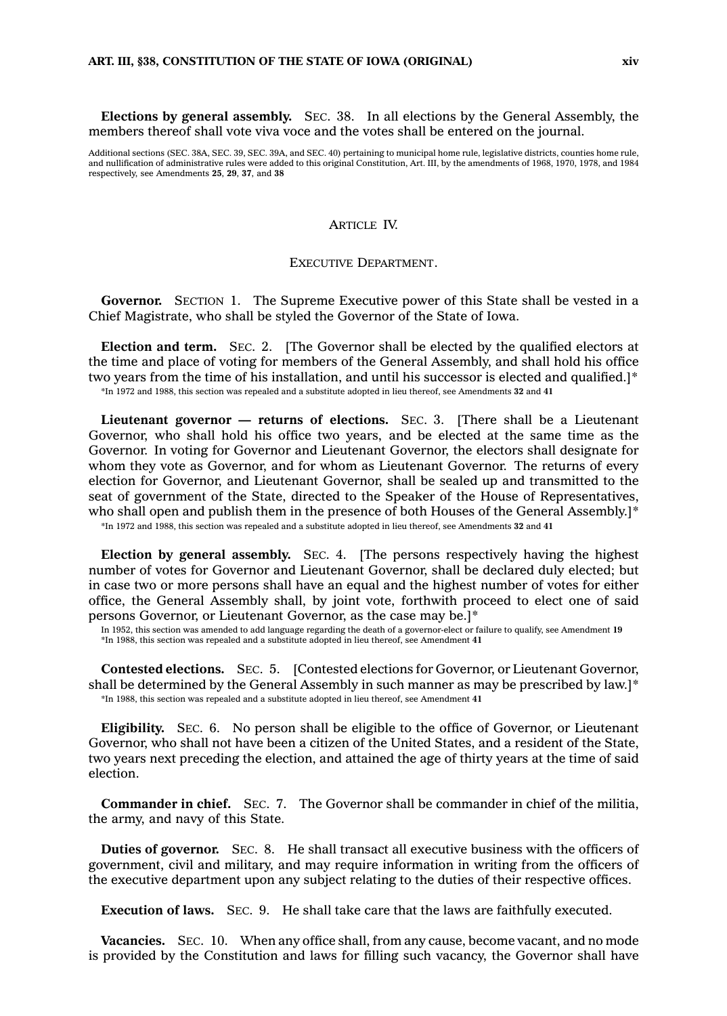**Elections by general assembly.** SEC. 38. In all elections by the General Assembly, the members thereof shall vote viva voce and the votes shall be entered on the journal.

Additional sections (SEC. 38A, SEC. 39, SEC. 39A, and SEC. 40) pertaining to municipal home rule, legislative districts, counties home rule<br>and nullification of administrative rules were added to this original Constitution respectively, see Amendments **25**, **29**, **37**, and **38**

# ARTICLE IV.

# EXECUTIVE DEPARTMENT.

**Governor.** SECTION 1. The Supreme Executive power of this State shall be vested in <sup>a</sup> Chief Magistrate, who shall be styled the Governor of the State of Iowa.

**Election and term.** SEC. 2. [The Governor shall be elected by the qualified electors at the time and place of voting for members of the General Assembly, and shall hold his office two years from the time of his installation, and until his successor is elected and qualified.]\* \*In 1972 and 1988, this section was repealed and <sup>a</sup> substitute adopted in lieu thereof, see Amendments **32** and **41**

**Lieutenant governor — returns of elections.** SEC. 3. [There shall be <sup>a</sup> Lieutenant Governor, who shall hold his office two years, and be elected at the same time as the Governor. In voting for Governor and Lieutenant Governor, the electors shall designate for whom they vote as Governor, and for whom as Lieutenant Governor. The returns of every election for Governor, and Lieutenant Governor, shall be sealed up and transmitted to the seat of government of the State, directed to the Speaker of the House of Representatives, who shall open and publish them in the presence of both Houses of the General Assembly.]\*

\*In 1972 and 1988, this section was repealed and <sup>a</sup> substitute adopted in lieu thereof, see Amendments **32** and **41**

**Election by general assembly.** SEC. 4. [The persons respectively having the highest number of votes for Governor and Lieutenant Governor, shall be declared duly elected; but in case two or more persons shall have an equal and the highest number of votes for either office, the General Assembly shall, by joint vote, forthwith proceed to elect one of said persons Governor, or Lieutenant Governor, as the case may be.]\*

In 1952, this section was amended to add language regarding the death of <sup>a</sup> governor-elect or failure to qualify, see Amendment **19** \*In 1988, this section was repealed and <sup>a</sup> substitute adopted in lieu thereof, see Amendment **41**

**Contested elections.** SEC. 5. [Contested elections for Governor, or Lieutenant Governor, shall be determined by the General Assembly in such manner as may be prescribed by law.]\* \*In 1988, this section was repealed and <sup>a</sup> substitute adopted in lieu thereof, see Amendment **41**

**Eligibility.** SEC. 6. No person shall be eligible to the office of Governor, or Lieutenant Governor, who shall not have been <sup>a</sup> citizen of the United States, and <sup>a</sup> resident of the State, two years next preceding the election, and attained the age of thirty years at the time of said election.

**Commander in chief.** SEC. 7. The Governor shall be commander in chief of the militia, the army, and navy of this State.

**Duties of governor.** SEC. 8. He shall transact all executive business with the officers of government, civil and military, and may require information in writing from the officers of the executive department upon any subject relating to the duties of their respective offices.

**Execution of laws.** SEC. 9. He shall take care that the laws are faithfully executed.

**Vacancies.** SEC. 10. When any office shall, from any cause, become vacant, and no mode is provided by the Constitution and laws for filling such vacancy, the Governor shall have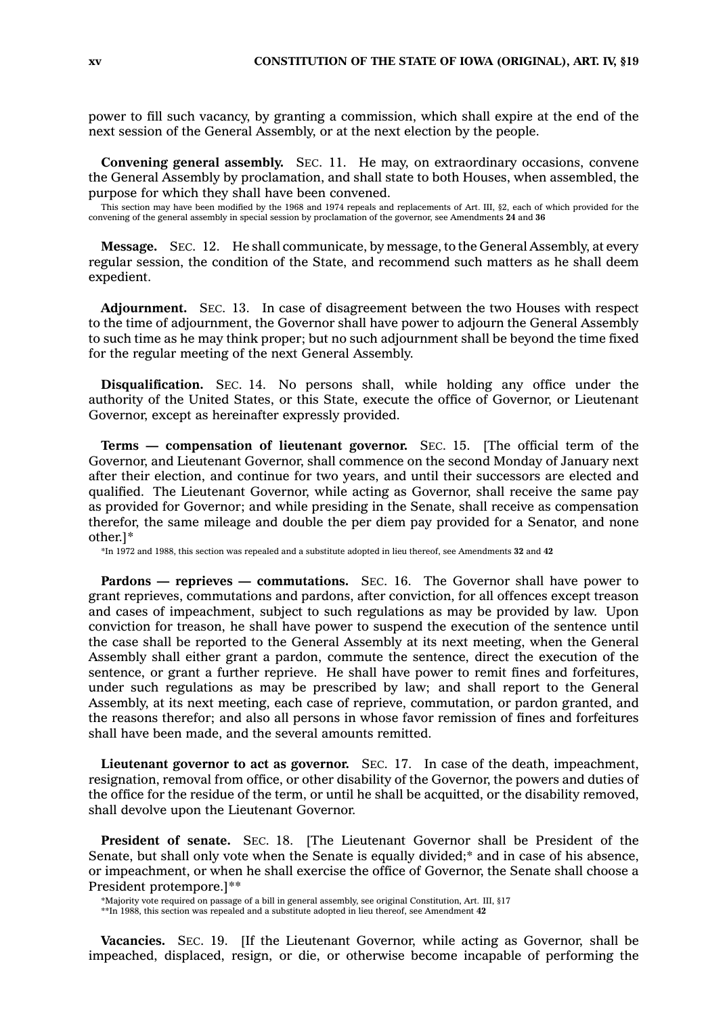power to fill such vacancy, by granting <sup>a</sup> commission, which shall expire at the end of the next session of the General Assembly, or at the next election by the people.

**Convening general assembly.** SEC. 11. He may, on extraordinary occasions, convene the General Assembly by proclamation, and shall state to both Houses, when assembled, the purpose for which they shall have been convened.

This section may have been modified by the 1968 and 1974 repeals and replacements of Art. III, §2, each of which provided for the convening of the general assembly in special session by proclamation of the governor, see Amendments **24** and **36**

**Message.** SEC. 12. He shall communicate, by message, to the General Assembly, at every regular session, the condition of the State, and recommend such matters as he shall deem expedient.

**Adjournment.** SEC. 13. In case of disagreement between the two Houses with respect to the time of adjournment, the Governor shall have power to adjourn the General Assembly to such time as he may think proper; but no such adjournment shall be beyond the time fixed for the regular meeting of the next General Assembly.

**Disqualification.** SEC. 14. No persons shall, while holding any office under the authority of the United States, or this State, execute the office of Governor, or Lieutenant Governor, except as hereinafter expressly provided.

**Terms — compensation of lieutenant governor.** SEC. 15. [The official term of the Governor, and Lieutenant Governor, shall commence on the second Monday of January next after their election, and continue for two years, and until their successors are elected and qualified. The Lieutenant Governor, while acting as Governor, shall receive the same pay as provided for Governor; and while presiding in the Senate, shall receive as compensation therefor, the same mileage and double the per diem pay provided for <sup>a</sup> Senator, and none other.]\*

\*In 1972 and 1988, this section was repealed and <sup>a</sup> substitute adopted in lieu thereof, see Amendments **32** and **42**

**Pardons — reprieves — commutations.** SEC. 16. The Governor shall have power to grant reprieves, commutations and pardons, after conviction, for all offences except treason and cases of impeachment, subject to such regulations as may be provided by law. Upon conviction for treason, he shall have power to suspend the execution of the sentence until the case shall be reported to the General Assembly at its next meeting, when the General Assembly shall either grant <sup>a</sup> pardon, commute the sentence, direct the execution of the sentence, or grant <sup>a</sup> further reprieve. He shall have power to remit fines and forfeitures, under such regulations as may be prescribed by law; and shall report to the General Assembly, at its next meeting, each case of reprieve, commutation, or pardon granted, and the reasons therefor; and also all persons in whose favor remission of fines and forfeitures shall have been made, and the several amounts remitted.

**Lieutenant governor to act as governor.** SEC. 17. In case of the death, impeachment, resignation, removal from office, or other disability of the Governor, the powers and duties of the office for the residue of the term, or until he shall be acquitted, or the disability removed, shall devolve upon the Lieutenant Governor.

**President of senate.** SEC. 18. [The Lieutenant Governor shall be President of the Senate, but shall only vote when the Senate is equally divided;\* and in case of his absence, or impeachment, or when he shall exercise the office of Governor, the Senate shall choose <sup>a</sup> President protempore.]\*\*

**Vacancies.** SEC. 19. [If the Lieutenant Governor, while acting as Governor, shall be impeached, displaced, resign, or die, or otherwise become incapable of performing the

<sup>\*</sup>Majority vote required on passage of <sup>a</sup> bill in general assembly, see original Constitution, Art. III, §17 \*\*In 1988, this section was repealed and <sup>a</sup> substitute adopted in lieu thereof, see Amendment **42**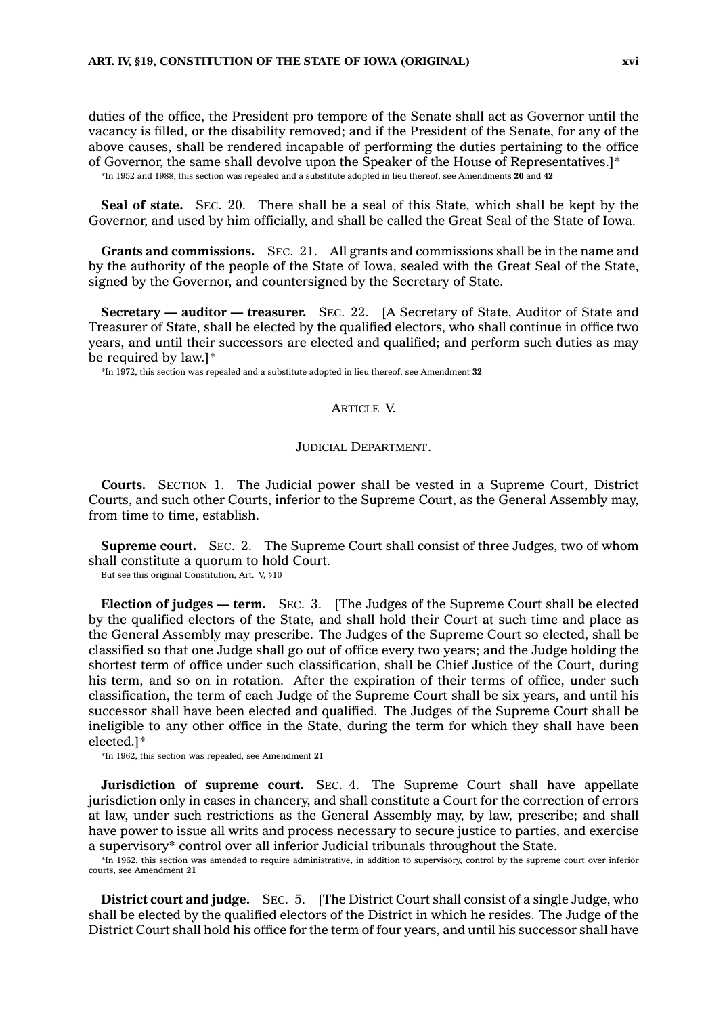duties of the office, the President pro tempore of the Senate shall act as Governor until the vacancy is filled, or the disability removed; and if the President of the Senate, for any of the above causes, shall be rendered incapable of performing the duties pertaining to the office of Governor, the same shall devolve upon the Speaker of the House of Representatives.]\*

\*In 1952 and 1988, this section was repealed and <sup>a</sup> substitute adopted in lieu thereof, see Amendments **20** and **42**

**Seal of state.** SEC. 20. There shall be <sup>a</sup> seal of this State, which shall be kept by the Governor, and used by him officially, and shall be called the Great Seal of the State of Iowa.

**Grants and commissions.** SEC. 21. All grants and commissions shall be in the name and by the authority of the people of the State of Iowa, sealed with the Great Seal of the State, signed by the Governor, and countersigned by the Secretary of State.

**Secretary — auditor — treasurer.** SEC. 22. [A Secretary of State, Auditor of State and Treasurer of State, shall be elected by the qualified electors, who shall continue in office two years, and until their successors are elected and qualified; and perform such duties as may be required by law.]\*

\*In 1972, this section was repealed and <sup>a</sup> substitute adopted in lieu thereof, see Amendment **32**

#### ARTICLE V.

#### JUDICIAL DEPARTMENT.

**Courts.** SECTION 1. The Judicial power shall be vested in <sup>a</sup> Supreme Court, District Courts, and such other Courts, inferior to the Supreme Court, as the General Assembly may, from time to time, establish.

**Supreme court.** SEC. 2. The Supreme Court shall consist of three Judges, two of whom shall constitute <sup>a</sup> quorum to hold Court.

But see this original Constitution, Art. V, §10

**Election of judges — term.** SEC. 3. [The Judges of the Supreme Court shall be elected by the qualified electors of the State, and shall hold their Court at such time and place as the General Assembly may prescribe. The Judges of the Supreme Court so elected, shall be classified so that one Judge shall go out of office every two years; and the Judge holding the shortest term of office under such classification, shall be Chief Justice of the Court, during his term, and so on in rotation. After the expiration of their terms of office, under such classification, the term of each Judge of the Supreme Court shall be six years, and until his successor shall have been elected and qualified. The Judges of the Supreme Court shall be ineligible to any other office in the State, during the term for which they shall have been elected.]\*

\*In 1962, this section was repealed, see Amendment **21**

**Jurisdiction of supreme court.** SEC. 4. The Supreme Court shall have appellate jurisdiction only in cases in chancery, and shall constitute <sup>a</sup> Court for the correction of errors at law, under such restrictions as the General Assembly may, by law, prescribe; and shall have power to issue all writs and process necessary to secure justice to parties, and exercise <sup>a</sup> supervisory\* control over all inferior Judicial tribunals throughout the State.

\*In 1962, this section was amended to require administrative, in addition to supervisory, control by the supreme court over inferior courts, see Amendment **21**

**District court and judge.** SEC. 5. [The District Court shall consist of <sup>a</sup> single Judge, who shall be elected by the qualified electors of the District in which he resides. The Judge of the District Court shall hold his office for the term of four years, and until his successor shall have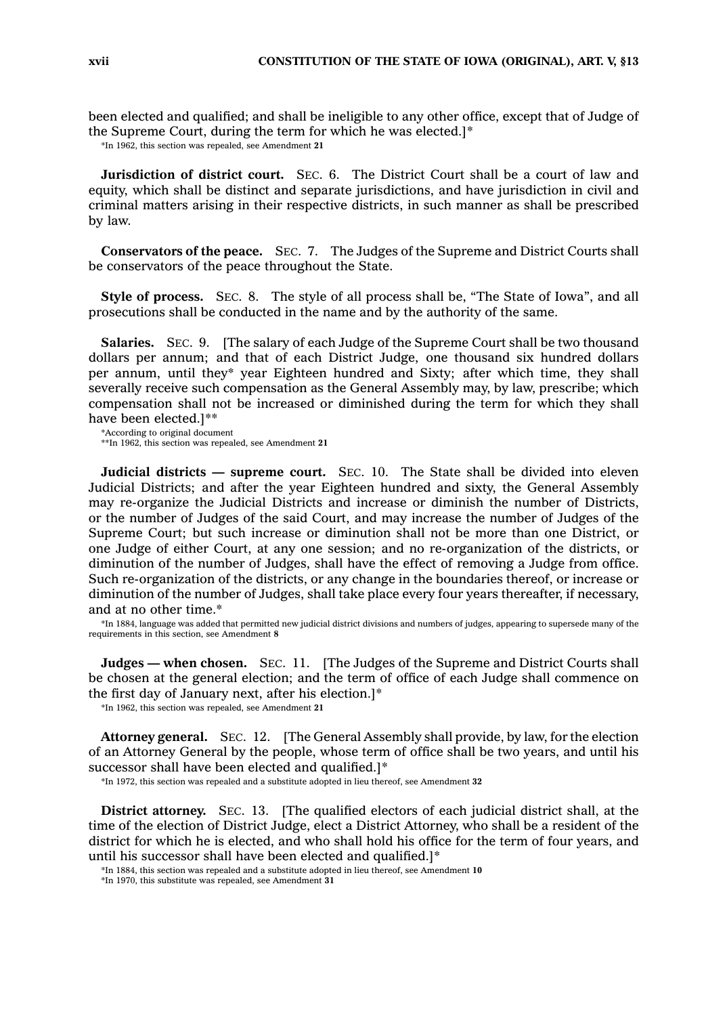been elected and qualified; and shall be ineligible to any other office, except that of Judge of the Supreme Court, during the term for which he was elected.]\*

\*In 1962, this section was repealed, see Amendment **21**

**Jurisdiction of district court.** SEC. 6. The District Court shall be a court of law and equity, which shall be distinct and separate jurisdictions, and have jurisdiction in civil and criminal matters arising in their respective districts, in such manner as shall be prescribed by law.

**Conservators of the peace.** SEC. 7. The Judges of the Supreme and District Courts shall be conservators of the peace throughout the State.

**Style of process.** SEC. 8. The style of all process shall be, "The State of Iowa", and all prosecutions shall be conducted in the name and by the authority of the same.

**Salaries.** SEC. 9. [The salary of each Judge of the Supreme Court shall be two thousand dollars per annum; and that of each District Judge, one thousand six hundred dollars per annum, until they\* year Eighteen hundred and Sixty; after which time, they shall severally receive such compensation as the General Assembly may, by law, prescribe; which compensation shall not be increased or diminished during the term for which they shall have been elected.]\*\*

\*According to original document \*\*In 1962, this section was repealed, see Amendment **21**

**Judicial districts — supreme court.** SEC. 10. The State shall be divided into eleven Judicial Districts; and after the year Eighteen hundred and sixty, the General Assembly may re-organize the Judicial Districts and increase or diminish the number of Districts, or the number of Judges of the said Court, and may increase the number of Judges of the Supreme Court; but such increase or diminution shall not be more than one District, or one Judge of either Court, at any one session; and no re-organization of the districts, or diminution of the number of Judges, shall have the effect of removing <sup>a</sup> Judge from office. Such re-organization of the districts, or any change in the boundaries thereof, or increase or diminution of the number of Judges, shall take place every four years thereafter, if necessary, and at no other time.\*

\*In 1884, language was added that permitted new judicial district divisions and numbers of judges, appearing to supersede many of the requirements in this section, see Amendment **8**

**Judges — when chosen.** SEC. 11. [The Judges of the Supreme and District Courts shall be chosen at the general election; and the term of office of each Judge shall commence on the first day of January next, after his election.]\*

\*In 1962, this section was repealed, see Amendment **21**

**Attorney general.** SEC. 12. [The General Assembly shall provide, by law, for the election of an Attorney General by the people, whose term of office shall be two years, and until his successor shall have been elected and qualified.]\*

\*In 1972, this section was repealed and <sup>a</sup> substitute adopted in lieu thereof, see Amendment **32**

**District attorney.** SEC. 13. [The qualified electors of each judicial district shall, at the time of the election of District Judge, elect <sup>a</sup> District Attorney, who shall be <sup>a</sup> resident of the district for which he is elected, and who shall hold his office for the term of four years, and until his successor shall have been elected and qualified.]\*

<sup>\*</sup>In 1884, this section was repealed and <sup>a</sup> substitute adopted in lieu thereof, see Amendment **10**

<sup>\*</sup>In 1970, this substitute was repealed, see Amendment **31**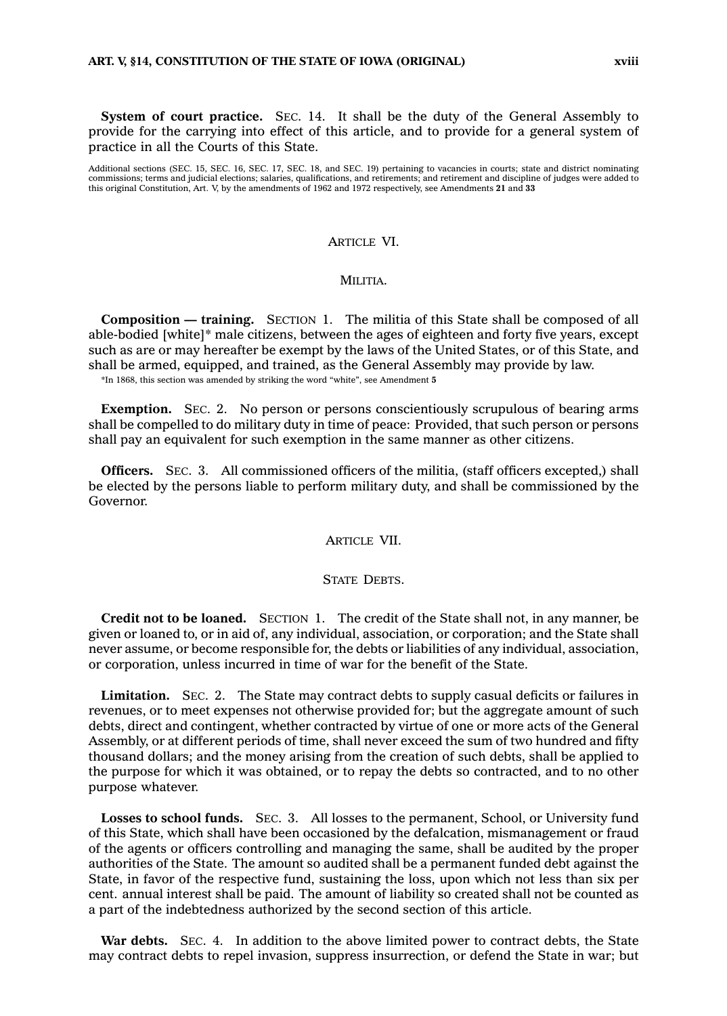**System of court practice.** SEC. 14. It shall be the duty of the General Assembly to provide for the carrying into effect of this article, and to provide for <sup>a</sup> general system of practice in all the Courts of this State.

Additional sections (SEC. 15, SEC. 16, SEC. 17, SEC. 18, and SEC. 19) pertaining to vacancies in courts; state and district nominating commissions; terms and judicial elections; salaries, qualifications, and retirements; and retirement and discipline of judges were added to this original Constitution, Art. V, by the amendments of 1962 and 1972 respectively, see Amendments **21** and **33**

# **ARTICLE VI.**

#### MILITIA.

**Composition — training.** SECTION 1. The militia of this State shall be composed of all able-bodied [white]\* male citizens, between the ages of eighteen and forty five years, except such as are or may hereafter be exempt by the laws of the United States, or of this State, and shall be armed, equipped, and trained, as the General Assembly may provide by law.

\*In 1868, this section was amended by striking the word "white", see Amendment **5**

**Exemption.** SEC. 2. No person or persons conscientiously scrupulous of bearing arms shall be compelled to do military duty in time of peace: Provided, that such person or persons shall pay an equivalent for such exemption in the same manner as other citizens.

**Officers.** SEC. 3. All commissioned officers of the militia, (staff officers excepted,) shall be elected by the persons liable to perform military duty, and shall be commissioned by the Governor.

ARTICLE VII.

STATE DEBTS.

**Credit not to be loaned.** SECTION 1. The credit of the State shall not, in any manner, be given or loaned to, or in aid of, any individual, association, or corporation; and the State shall never assume, or become responsible for, the debts or liabilities of any individual, association, or corporation, unless incurred in time of war for the benefit of the State.

Limitation. SEC. 2. The State may contract debts to supply casual deficits or failures in revenues, or to meet expenses not otherwise provided for; but the aggregate amount of such debts, direct and contingent, whether contracted by virtue of one or more acts of the General Assembly, or at different periods of time, shall never exceed the sum of two hundred and fifty thousand dollars; and the money arising from the creation of such debts, shall be applied to the purpose for which it was obtained, or to repay the debts so contracted, and to no other purpose whatever.

**Losses to school funds.** SEC. 3. All losses to the permanent, School, or University fund of this State, which shall have been occasioned by the defalcation, mismanagement or fraud of the agents or officers controlling and managing the same, shall be audited by the proper authorities of the State. The amount so audited shall be <sup>a</sup> permanent funded debt against the State, in favor of the respective fund, sustaining the loss, upon which not less than six per cent. annual interest shall be paid. The amount of liability so created shall not be counted as <sup>a</sup> part of the indebtedness authorized by the second section of this article.

**War debts.** SEC. 4. In addition to the above limited power to contract debts, the State may contract debts to repel invasion, suppress insurrection, or defend the State in war; but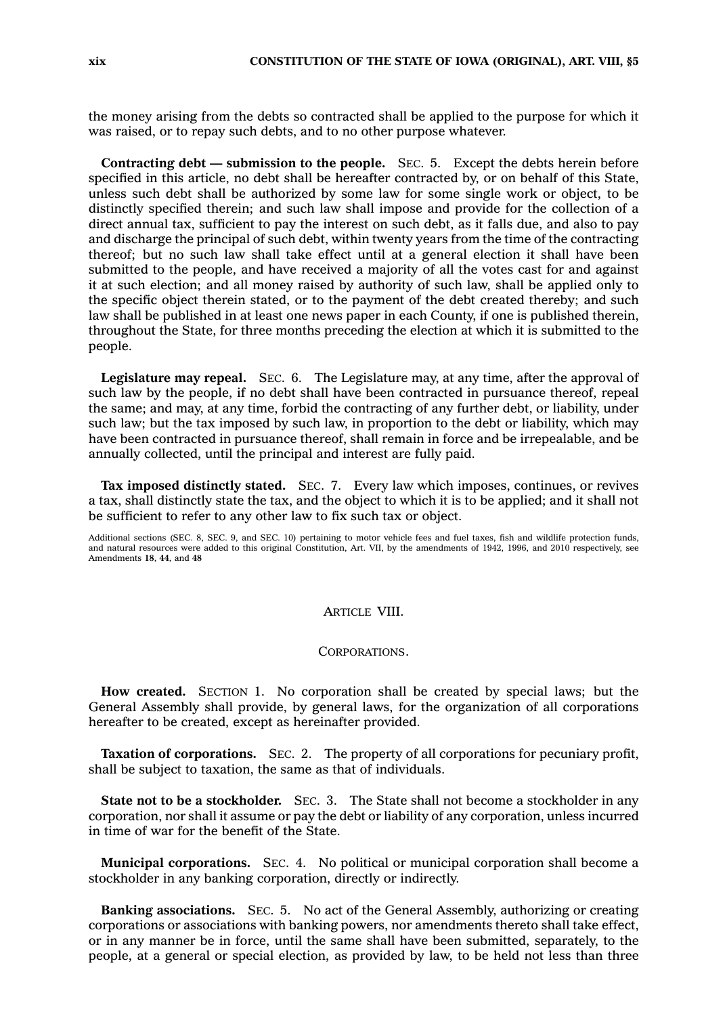the money arising from the debts so contracted shall be applied to the purpose for which it was raised, or to repay such debts, and to no other purpose whatever.

**Contracting debt — submission to the people.** SEC. 5. Except the debts herein before specified in this article, no debt shall be hereafter contracted by, or on behalf of this State, unless such debt shall be authorized by some law for some single work or object, to be distinctly specified therein; and such law shall impose and provide for the collection of <sup>a</sup> direct annual tax, sufficient to pay the interest on such debt, as it falls due, and also to pay and discharge the principal of such debt, within twenty years from the time of the contracting thereof; but no such law shall take effect until at <sup>a</sup> general election it shall have been submitted to the people, and have received <sup>a</sup> majority of all the votes cast for and against it at such election; and all money raised by authority of such law, shall be applied only to the specific object therein stated, or to the payment of the debt created thereby; and such law shall be published in at least one news paper in each County, if one is published therein, throughout the State, for three months preceding the election at which it is submitted to the people.

**Legislature may repeal.** SEC. 6. The Legislature may, at any time, after the approval of such law by the people, if no debt shall have been contracted in pursuance thereof, repeal the same; and may, at any time, forbid the contracting of any further debt, or liability, under such law; but the tax imposed by such law, in proportion to the debt or liability, which may have been contracted in pursuance thereof, shall remain in force and be irrepealable, and be annually collected, until the principal and interest are fully paid.

**Tax imposed distinctly stated.** SEC. 7. Every law which imposes, continues, or revives <sup>a</sup> tax, shall distinctly state the tax, and the object to which it is to be applied; and it shall not be sufficient to refer to any other law to fix such tax or object.

Additional sections (SEC. 8, SEC. 9, and SEC. 10) pertaining to motor vehicle fees and fuel taxes, fish and wildlife protection funds, and natural resources were added to this original Constitution, Art. VII, by the amendments of 1942, 1996, and 2010 respectively, see Amendments **18**, **44**, and **48**

# ARTICLE VIII.

# CORPORATIONS.

**How created.** SECTION 1. No corporation shall be created by special laws; but the General Assembly shall provide, by general laws, for the organization of all corporations hereafter to be created, except as hereinafter provided.

**Taxation of corporations.** SEC. 2. The property of all corporations for pecuniary profit, shall be subject to taxation, the same as that of individuals.

**State not to be <sup>a</sup> stockholder.** SEC. 3. The State shall not become <sup>a</sup> stockholder in any corporation, nor shall it assume or pay the debt or liability of any corporation, unless incurred in time of war for the benefit of the State.

**Municipal corporations.** SEC. 4. No political or municipal corporation shall become <sup>a</sup> stockholder in any banking corporation, directly or indirectly.

**Banking associations.** SEC. 5. No act of the General Assembly, authorizing or creating corporations or associations with banking powers, nor amendments thereto shall take effect, or in any manner be in force, until the same shall have been submitted, separately, to the people, at <sup>a</sup> general or special election, as provided by law, to be held not less than three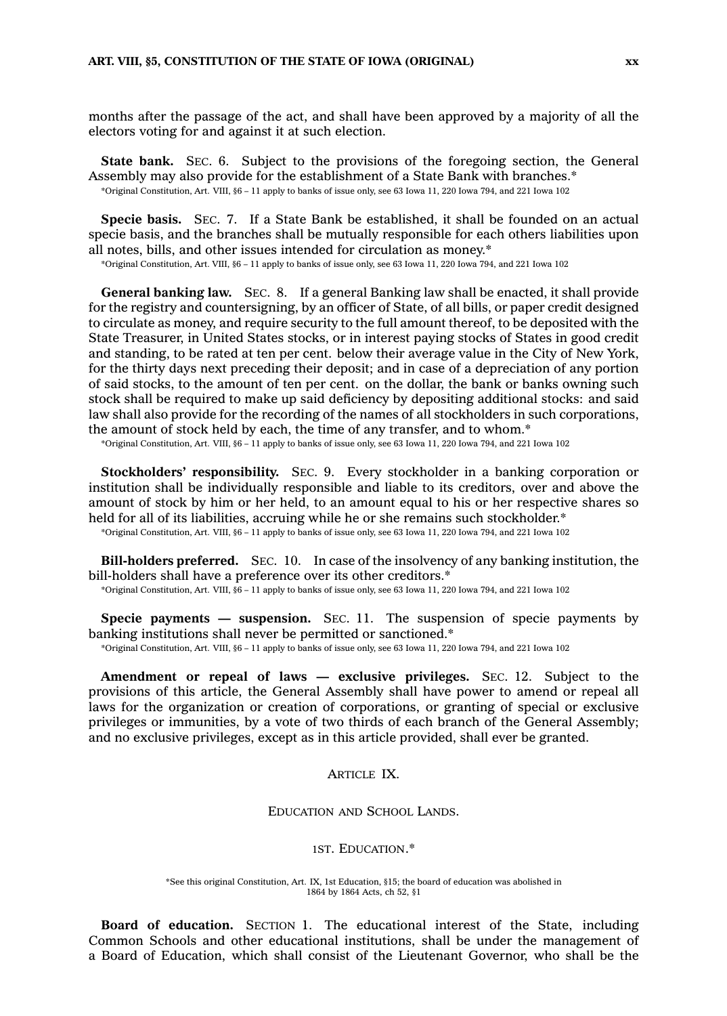months after the passage of the act, and shall have been approved by <sup>a</sup> majority of all the electors voting for and against it at such election.

**State** bank. SEC. 6. Subject to the provisions of the foregoing section, the General Assembly may also provide for the establishment of <sup>a</sup> State Bank with branches.\* \*Original Constitution, Art. VIII, §6 – 11 apply to banks of issue only, see 63 Iowa 11, 220 Iowa 794, and 221 Iowa 102

**Specie basis.** SEC. 7. If <sup>a</sup> State Bank be established, it shall be founded on an actual specie basis, and the branches shall be mutually responsible for each others liabilities upon all notes, bills, and other issues intended for circulation as money.\*

\*Original Constitution, Art. VIII, §6 – 11 apply to banks of issue only, see 63 Iowa 11, 220 Iowa 794, and 221 Iowa 102

**General banking law.** SEC. 8. If <sup>a</sup> general Banking law shall be enacted, it shall provide for the registry and countersigning, by an officer of State, of all bills, or paper credit designed to circulate as money, and require security to the full amount thereof, to be deposited with the State Treasurer, in United States stocks, or in interest paying stocks of States in good credit and standing, to be rated at ten per cent. below their average value in the City of New York, for the thirty days next preceding their deposit; and in case of <sup>a</sup> depreciation of any portion of said stocks, to the amount of ten per cent. on the dollar, the bank or banks owning such stock shall be required to make up said deficiency by depositing additional stocks: and said law shall also provide for the recording of the names of all stockholders in such corporations, the amount of stock held by each, the time of any transfer, and to whom.\*

\*Original Constitution, Art. VIII, §6 – 11 apply to banks of issue only, see 63 Iowa 11, 220 Iowa 794, and 221 Iowa 102

**Stockholders' responsibility.** SEC. 9. Every stockholder in <sup>a</sup> banking corporation or institution shall be individually responsible and liable to its creditors, over and above the amount of stock by him or her held, to an amount equal to his or her respective shares so held for all of its liabilities, accruing while he or she remains such stockholder.\*

\*Original Constitution, Art. VIII, §6 – 11 apply to banks of issue only, see 63 Iowa 11, 220 Iowa 794, and 221 Iowa 102

**Bill-holders preferred.** SEC. 10. In case of the insolvency of any banking institution, the bill-holders shall have <sup>a</sup> preference over its other creditors.\*

\*Original Constitution, Art. VIII, §6 – 11 apply to banks of issue only, see 63 Iowa 11, 220 Iowa 794, and 221 Iowa 102

**Specie payments — suspension.** SEC. 11. The suspension of specie payments by banking institutions shall never be permitted or sanctioned.\*

\*Original Constitution, Art. VIII, §6 – 11 apply to banks of issue only, see 63 Iowa 11, 220 Iowa 794, and 221 Iowa 102

**Amendment or repeal of laws — exclusive privileges.** SEC. 12. Subject to the provisions of this article, the General Assembly shall have power to amend or repeal all laws for the organization or creation of corporations, or granting of special or exclusive privileges or immunities, by <sup>a</sup> vote of two thirds of each branch of the General Assembly; and no exclusive privileges, except as in this article provided, shall ever be granted.

## ARTICLE IX.

EDUCATION AND SCHOOL LANDS.

## 1ST. EDUCATION.\*

\*See this original Constitution, Art. IX, 1st Education, §15; the board of education was abolished in 1864 by 1864 Acts, ch 52, §1

**Board of education.** SECTION 1. The educational interest of the State, including Common Schools and other educational institutions, shall be under the management of <sup>a</sup> Board of Education, which shall consist of the Lieutenant Governor, who shall be the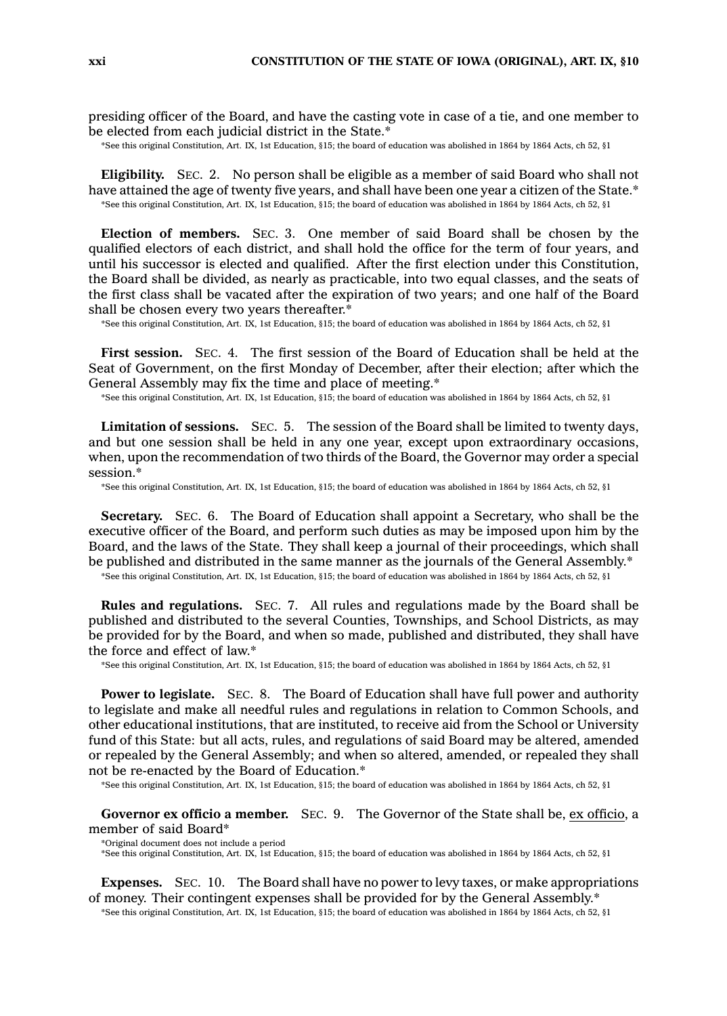presiding officer of the Board, and have the casting vote in case of <sup>a</sup> tie, and one member to be elected from each judicial district in the State.\*

\*See this original Constitution, Art. IX, 1st Education, §15; the board of education was abolished in 1864 by 1864 Acts, ch 52, §1

**Eligibility.** SEC. 2. No person shall be eligible as <sup>a</sup> member of said Board who shall not have attained the age of twenty five years, and shall have been one year a citizen of the State.\* \*See this original Constitution, Art. IX, 1st Education, §15; the board of education was abolished in 1864 by 1864 Acts, ch 52, §1

**Election of members.** SEC. 3. One member of said Board shall be chosen by the qualified electors of each district, and shall hold the office for the term of four years, and until his successor is elected and qualified. After the first election under this Constitution, the Board shall be divided, as nearly as practicable, into two equal classes, and the seats of the first class shall be vacated after the expiration of two years; and one half of the Board shall be chosen every two years thereafter.\*

\*See this original Constitution, Art. IX, 1st Education, §15; the board of education was abolished in 1864 by 1864 Acts, ch 52, §1

**First session.** SEC. 4. The first session of the Board of Education shall be held at the Seat of Government, on the first Monday of December, after their election; after which the General Assembly may fix the time and place of meeting.\*

\*See this original Constitution, Art. IX, 1st Education, §15; the board of education was abolished in 1864 by 1864 Acts, ch 52, §1

**Limitation of sessions.** SEC. 5. The session of the Board shall be limited to twenty days, and but one session shall be held in any one year, except upon extraordinary occasions, when, upon the recommendation of two thirds of the Board, the Governor may order <sup>a</sup> special session.\*

\*See this original Constitution, Art. IX, 1st Education, §15; the board of education was abolished in 1864 by 1864 Acts, ch 52, §1

**Secretary.** SEC. 6. The Board of Education shall appoint <sup>a</sup> Secretary, who shall be the executive officer of the Board, and perform such duties as may be imposed upon him by the Board, and the laws of the State. They shall keep <sup>a</sup> journal of their proceedings, which shall be published and distributed in the same manner as the journals of the General Assembly.\*

\*See this original Constitution, Art. IX, 1st Education, §15; the board of education was abolished in 1864 by 1864 Acts, ch 52, §1

**Rules and regulations.** SEC. 7. All rules and regulations made by the Board shall be published and distributed to the several Counties, Townships, and School Districts, as may be provided for by the Board, and when so made, published and distributed, they shall have the force and effect of law.\*

\*See this original Constitution, Art. IX, 1st Education, §15; the board of education was abolished in 1864 by 1864 Acts, ch 52, §1

**Power to legislate.** SEC. 8. The Board of Education shall have full power and authority to legislate and make all needful rules and regulations in relation to Common Schools, and other educational institutions, that are instituted, to receive aid from the School or University fund of this State: but all acts, rules, and regulations of said Board may be altered, amended or repealed by the General Assembly; and when so altered, amended, or repealed they shall not be re-enacted by the Board of Education.\*

\*See this original Constitution, Art. IX, 1st Education, §15; the board of education was abolished in 1864 by 1864 Acts, ch 52, §1

**Governor ex officio <sup>a</sup> member.** SEC. 9. The Governor of the State shall be, ex officio, <sup>a</sup> member of said Board\*

\*Original document does not include <sup>a</sup> period \*See this original Constitution, Art. IX, 1st Education, §15; the board of education was abolished in 1864 by 1864 Acts, ch 52, §1

**Expenses.** SEC. 10. The Board shall have no power to levy taxes, or make appropriations of money. Their contingent expenses shall be provided for by the General Assembly.\*

\*See this original Constitution, Art. IX, 1st Education, §15; the board of education was abolished in 1864 by 1864 Acts, ch 52, §1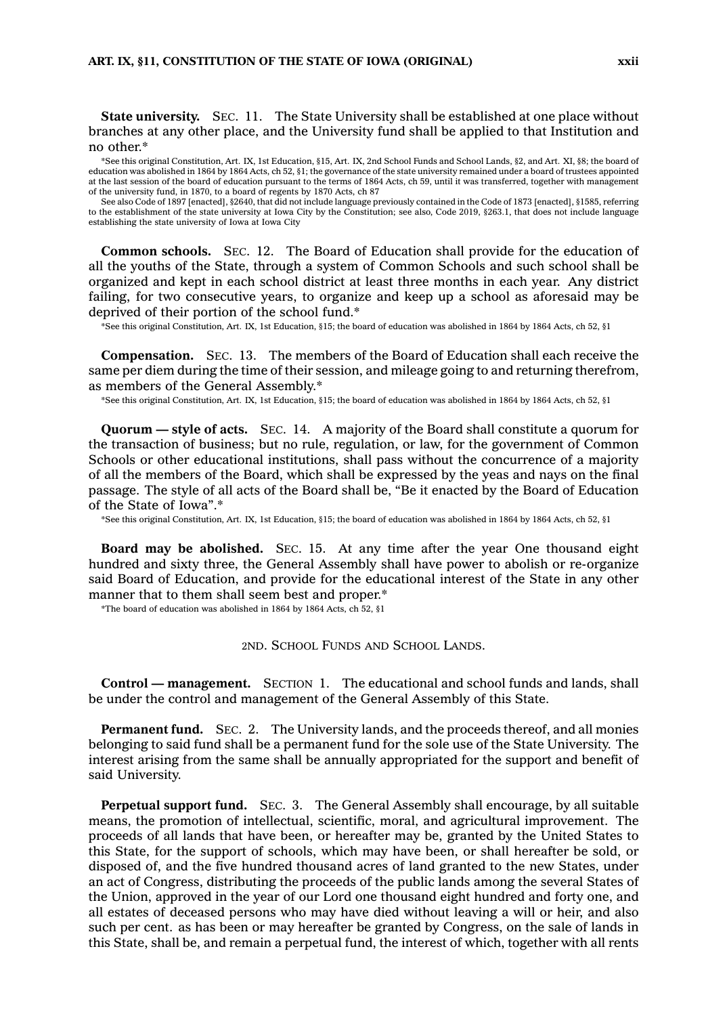**State university.** SEC. 11. The State University shall be established at one place without branches at any other place, and the University fund shall be applied to that Institution and no other.\*

\*See this original Constitution, Art. IX, 1st Education, §15, Art. IX, 2nd School Funds and School Lands, §2, and Art. XI, §8; the board of education was abolished in 1864 by 1864 Acts, ch 52, §1; the governance of the state university remained under <sup>a</sup> board of trustees appointed at the last session of the board of education pursuant to the terms of 1864 Acts, ch 59, until it was transferred, together with management of the university fund, in 1870, to <sup>a</sup> board of regents by 1870 Acts, ch 87

See also Code of 1897 [enacted], §2640, that did not include language previously contained in the Code of 1873 [enacted], §1585, referring to the establishment of the state university at Iowa City by the Constitution; see also, Code 2019, §263.1, that does not include language establishing the state university of Iowa at Iowa City

**Common schools.** SEC. 12. The Board of Education shall provide for the education of all the youths of the State, through <sup>a</sup> system of Common Schools and such school shall be organized and kept in each school district at least three months in each year. Any district failing, for two consecutive years, to organize and keep up <sup>a</sup> school as aforesaid may be deprived of their portion of the school fund.\*

\*See this original Constitution, Art. IX, 1st Education, §15; the board of education was abolished in 1864 by 1864 Acts, ch 52, §1

**Compensation.** SEC. 13. The members of the Board of Education shall each receive the same per diem during the time of their session, and mileage going to and returning therefrom, as members of the General Assembly.\*

\*See this original Constitution, Art. IX, 1st Education, §15; the board of education was abolished in 1864 by 1864 Acts, ch 52, §1

**Quorum — style of acts.** SEC. 14. A majority of the Board shall constitute <sup>a</sup> quorum for the transaction of business; but no rule, regulation, or law, for the government of Common Schools or other educational institutions, shall pass without the concurrence of <sup>a</sup> majority of all the members of the Board, which shall be expressed by the yeas and nays on the final passage. The style of all acts of the Board shall be, "Be it enacted by the Board of Education of the State of Iowa".\*

\*See this original Constitution, Art. IX, 1st Education, §15; the board of education was abolished in 1864 by 1864 Acts, ch 52, §1

**Board may be abolished.** SEC. 15. At any time after the year One thousand eight hundred and sixty three, the General Assembly shall have power to abolish or re-organize said Board of Education, and provide for the educational interest of the State in any other manner that to them shall seem best and proper.\*

\*The board of education was abolished in 1864 by 1864 Acts, ch 52, §1

2ND. SCHOOL FUNDS AND SCHOOL LANDS.

**Control —management.** SECTION 1. The educational and school funds and lands, shall be under the control and management of the General Assembly of this State.

**Permanent fund.** SEC. 2. The University lands, and the proceeds thereof, and all monies belonging to said fund shall be <sup>a</sup> permanent fund for the sole use of the State University. The interest arising from the same shall be annually appropriated for the support and benefit of said University.

**Perpetual support fund.** SEC. 3. The General Assembly shall encourage, by all suitable means, the promotion of intellectual, scientific, moral, and agricultural improvement. The proceeds of all lands that have been, or hereafter may be, granted by the United States to this State, for the support of schools, which may have been, or shall hereafter be sold, or disposed of, and the five hundred thousand acres of land granted to the new States, under an act of Congress, distributing the proceeds of the public lands among the several States of the Union, approved in the year of our Lord one thousand eight hundred and forty one, and all estates of deceased persons who may have died without leaving <sup>a</sup> will or heir, and also such per cent. as has been or may hereafter be granted by Congress, on the sale of lands in this State, shall be, and remain <sup>a</sup> perpetual fund, the interest of which, together with all rents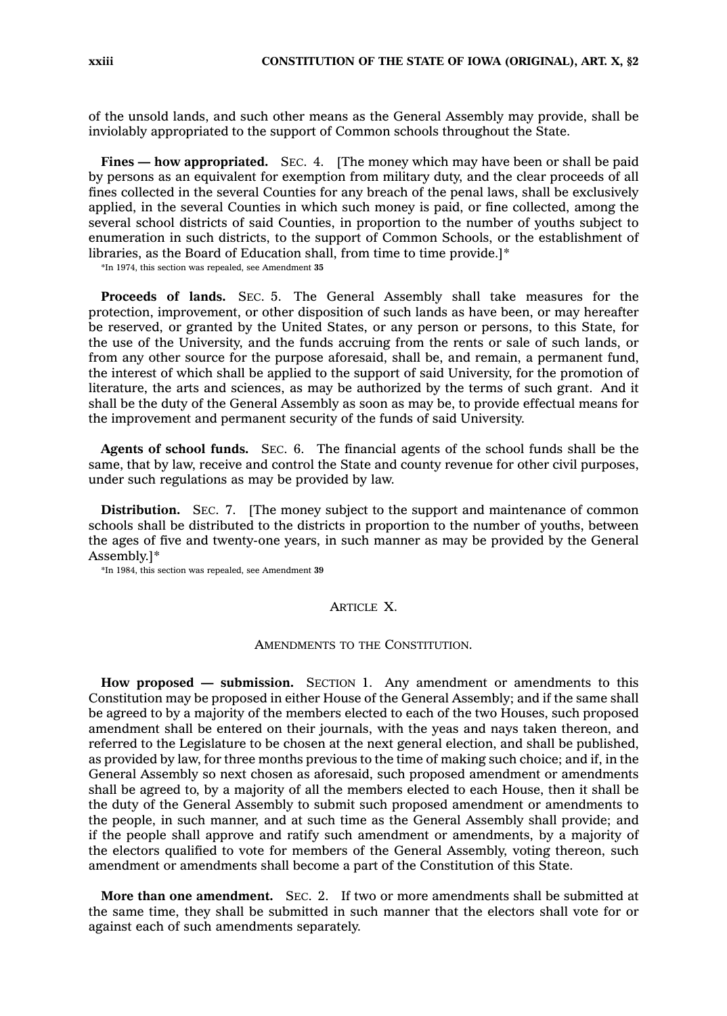of the unsold lands, and such other means as the General Assembly may provide, shall be inviolably appropriated to the support of Common schools throughout the State.

**Fines — how appropriated.** SEC. 4. [The money which may have been or shall be paid by persons as an equivalent for exemption from military duty, and the clear proceeds of all fines collected in the several Counties for any breach of the penal laws, shall be exclusively applied, in the several Counties in which such money is paid, or fine collected, among the several school districts of said Counties, in proportion to the number of youths subject to enumeration in such districts, to the support of Common Schools, or the establishment of libraries, as the Board of Education shall, from time to time provide.]\*

\*In 1974, this section was repealed, see Amendment **35**

**Proceeds of lands.** SEC. 5. The General Assembly shall take measures for the protection, improvement, or other disposition of such lands as have been, or may hereafter be reserved, or granted by the United States, or any person or persons, to this State, for the use of the University, and the funds accruing from the rents or sale of such lands, or from any other source for the purpose aforesaid, shall be, and remain, <sup>a</sup> permanent fund, the interest of which shall be applied to the support of said University, for the promotion of literature, the arts and sciences, as may be authorized by the terms of such grant. And it shall be the duty of the General Assembly as soon as may be, to provide effectual means for the improvement and permanent security of the funds of said University.

**Agents of school funds.** SEC. 6. The financial agents of the school funds shall be the same, that by law, receive and control the State and county revenue for other civil purposes, under such regulations as may be provided by law.

**Distribution.** SEC. 7. [The money subject to the support and maintenance of common schools shall be distributed to the districts in proportion to the number of youths, between the ages of five and twenty-one years, in such manner as may be provided by the General Assembly.]\*

\*In 1984, this section was repealed, see Amendment **39**

# **ARTICLE X.**

# AMENDMENTS TO THE CONSTITUTION.

**How proposed — submission.** SECTION 1. Any amendment or amendments to this Constitution may be proposed in either House of the General Assembly; and if the same shall be agreed to by <sup>a</sup> majority of the members elected to each of the two Houses, such proposed amendment shall be entered on their journals, with the yeas and nays taken thereon, and referred to the Legislature to be chosen at the next general election, and shall be published, as provided by law, for three months previous to the time of making such choice; and if, in the General Assembly so next chosen as aforesaid, such proposed amendment or amendments shall be agreed to, by <sup>a</sup> majority of all the members elected to each House, then it shall be the duty of the General Assembly to submit such proposed amendment or amendments to the people, in such manner, and at such time as the General Assembly shall provide; and if the people shall approve and ratify such amendment or amendments, by <sup>a</sup> majority of the electors qualified to vote for members of the General Assembly, voting thereon, such amendment or amendments shall become <sup>a</sup> part of the Constitution of this State.

**More than one amendment.** SEC. 2. If two or more amendments shall be submitted at the same time, they shall be submitted in such manner that the electors shall vote for or against each of such amendments separately.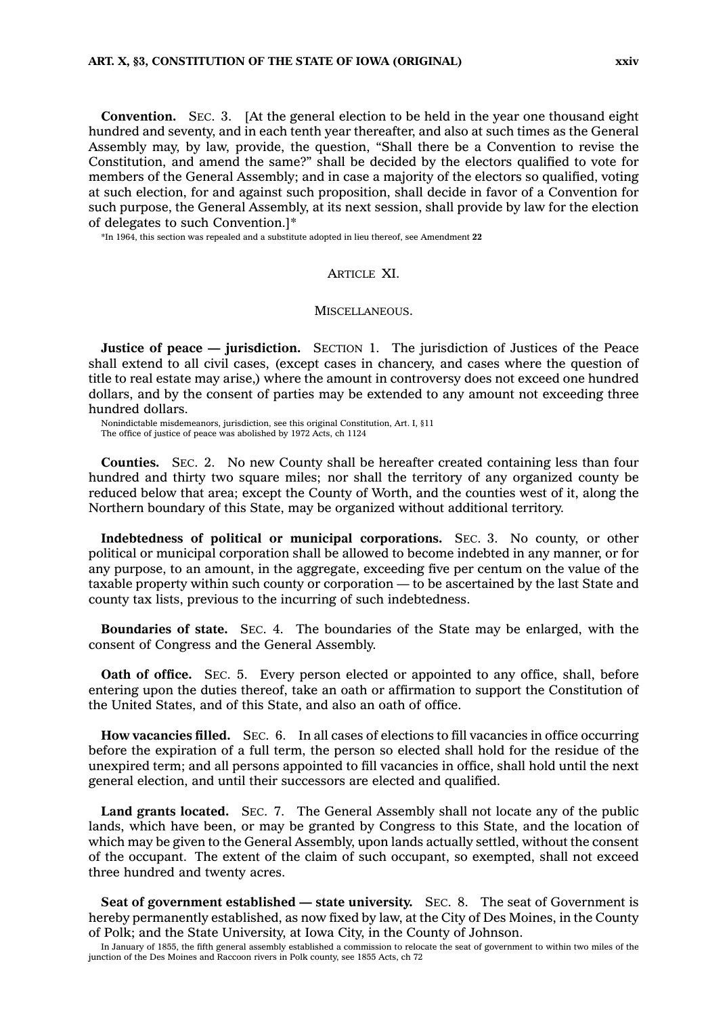**Convention.** SEC. 3. [At the general election to be held in the year one thousand eight hundred and seventy, and in each tenth year thereafter, and also at such times as the General Assembly may, by law, provide, the question, "Shall there be <sup>a</sup> Convention to revise the Constitution, and amend the same?" shall be decided by the electors qualified to vote for members of the General Assembly; and in case <sup>a</sup> majority of the electors so qualified, voting at such election, for and against such proposition, shall decide in favor of <sup>a</sup> Convention for such purpose, the General Assembly, at its next session, shall provide by law for the election of delegates to such Convention.]\*

\*In 1964, this section was repealed and <sup>a</sup> substitute adopted in lieu thereof, see Amendment **22**

#### **ARTICLE XI.**

## MISCELLANEOUS.

**Justice of peace — jurisdiction.** SECTION 1. The jurisdiction of Justices of the Peace shall extend to all civil cases, (except cases in chancery, and cases where the question of title to real estate may arise,) where the amount in controversy does not exceed one hundred dollars, and by the consent of parties may be extended to any amount not exceeding three hundred dollars.

Nonindictable misdemeanors, jurisdiction, see this original Constitution, Art. I, §11 The office of justice of peace was abolished by 1972 Acts, ch 1124

**Counties.** SEC. 2. No new County shall be hereafter created containing less than four hundred and thirty two square miles; nor shall the territory of any organized county be reduced below that area; except the County of Worth, and the counties west of it, along the Northern boundary of this State, may be organized without additional territory.

**Indebtedness of political or municipal corporations.** SEC. 3. No county, or other political or municipal corporation shall be allowed to become indebted in any manner, or for any purpose, to an amount, in the aggregate, exceeding five per centum on the value of the taxable property within such county or corporation — to be ascertained by the last State and county tax lists, previous to the incurring of such indebtedness.

**Boundaries of state.** SEC. 4. The boundaries of the State may be enlarged, with the consent of Congress and the General Assembly.

**Oath of office.** SEC. 5. Every person elected or appointed to any office, shall, before entering upon the duties thereof, take an oath or affirmation to support the Constitution of the United States, and of this State, and also an oath of office.

**How vacancies filled.** SEC. 6. In all cases of elections to fill vacancies in office occurring before the expiration of <sup>a</sup> full term, the person so elected shall hold for the residue of the unexpired term; and all persons appointed to fill vacancies in office, shall hold until the next general election, and until their successors are elected and qualified.

**Land grants located.** SEC. 7. The General Assembly shall not locate any of the public lands, which have been, or may be granted by Congress to this State, and the location of which may be given to the General Assembly, upon lands actually settled, without the consent of the occupant. The extent of the claim of such occupant, so exempted, shall not exceed three hundred and twenty acres.

**Seat of government established — state university.** SEC. 8. The seat of Government is hereby permanently established, as now fixed by law, at the City of Des Moines, in the County of Polk; and the State University, at Iowa City, in the County of Johnson.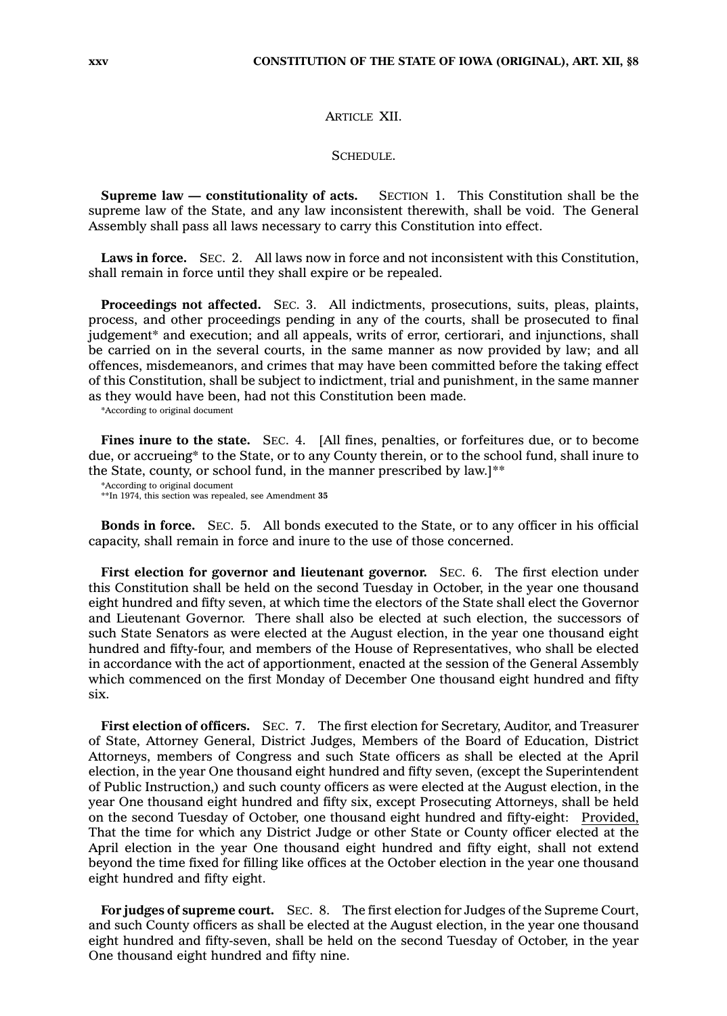# ARTICLE XII.

# SCHEDULE.

**Supreme law — constitutionality of acts.** SECTION 1. This Constitution shall be the supreme law of the State, and any law inconsistent therewith, shall be void. The General Assembly shall pass all laws necessary to carry this Constitution into effect.

**Laws in force.** SEC. 2. All laws now in force and not inconsistent with this Constitution, shall remain in force until they shall expire or be repealed.

**Proceedings not affected.** SEC. 3. All indictments, prosecutions, suits, pleas, plaints, process, and other proceedings pending in any of the courts, shall be prosecuted to final judgement\* and execution; and all appeals, writs of error, certiorari, and injunctions, shall be carried on in the several courts, in the same manner as now provided by law; and all offences, misdemeanors, and crimes that may have been committed before the taking effect of this Constitution, shall be subject to indictment, trial and punishment, in the same manner as they would have been, had not this Constitution been made.

\*According to original document

**Fines inure to the state.** SEC. 4. [All fines, penalties, or forfeitures due, or to become due, or accrueing\* to the State, or to any County therein, or to the school fund, shall inure to the State, county, or school fund, in the manner prescribed by law.]\*\*

\*According to original document \*\*In 1974, this section was repealed, see Amendment **35**

**Bonds in force.** SEC. 5. All bonds executed to the State, or to any officer in his official capacity, shall remain in force and inure to the use of those concerned.

**First election for governor and lieutenant governor.** SEC. 6. The first election under this Constitution shall be held on the second Tuesday in October, in the year one thousand eight hundred and fifty seven, at which time the electors of the State shall elect the Governor and Lieutenant Governor. There shall also be elected at such election, the successors of such State Senators as were elected at the August election, in the year one thousand eight hundred and fifty-four, and members of the House of Representatives, who shall be elected in accordance with the act of apportionment, enacted at the session of the General Assembly which commenced on the first Monday of December One thousand eight hundred and fifty six.

**First election of officers.** SEC. 7. The first election for Secretary, Auditor, and Treasurer of State, Attorney General, District Judges, Members of the Board of Education, District Attorneys, members of Congress and such State officers as shall be elected at the April election, in the year One thousand eight hundred and fifty seven, (except the Superintendent of Public Instruction,) and such county officers as were elected at the August election, in the year One thousand eight hundred and fifty six, except Prosecuting Attorneys, shall be held on the second Tuesday of October, one thousand eight hundred and fifty-eight: Provided, That the time for which any District Judge or other State or County officer elected at the April election in the year One thousand eight hundred and fifty eight, shall not extend beyond the time fixed for filling like offices at the October election in the year one thousand eight hundred and fifty eight.

**For judges of supreme court.** SEC. 8. The first election for Judges of the Supreme Court, and such County officers as shall be elected at the August election, in the year one thousand eight hundred and fifty-seven, shall be held on the second Tuesday of October, in the year One thousand eight hundred and fifty nine.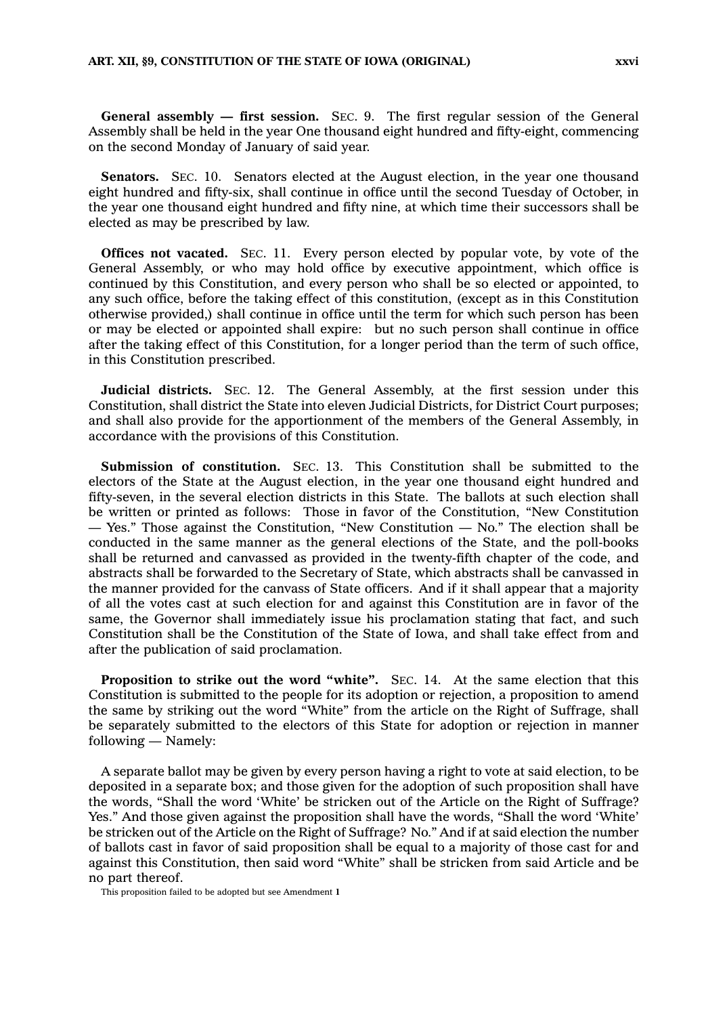**General assembly — first session.** SEC. 9. The first regular session of the General Assembly shall be held in the year One thousand eight hundred and fifty-eight, commencing on the second Monday of January of said year.

Senators. SEC. 10. Senators elected at the August election, in the year one thousand eight hundred and fifty-six, shall continue in office until the second Tuesday of October, in the year one thousand eight hundred and fifty nine, at which time their successors shall be elected as may be prescribed by law.

**Offices not vacated.** SEC. 11. Every person elected by popular vote, by vote of the General Assembly, or who may hold office by executive appointment, which office is continued by this Constitution, and every person who shall be so elected or appointed, to any such office, before the taking effect of this constitution, (except as in this Constitution otherwise provided,) shall continue in office until the term for which such person has been or may be elected or appointed shall expire: but no such person shall continue in office after the taking effect of this Constitution, for <sup>a</sup> longer period than the term of such office, in this Constitution prescribed.

**Judicial districts.** SEC. 12. The General Assembly, at the first session under this Constitution, shall district the State into eleven Judicial Districts, for District Court purposes; and shall also provide for the apportionment of the members of the General Assembly, in accordance with the provisions of this Constitution.

**Submission of constitution.** SEC. 13. This Constitution shall be submitted to the electors of the State at the August election, in the year one thousand eight hundred and fifty-seven, in the several election districts in this State. The ballots at such election shall be written or printed as follows: Those in favor of the Constitution, "New Constitution — Yes." Those against the Constitution, "New Constitution — No." The election shall be conducted in the same manner as the general elections of the State, and the poll-books shall be returned and canvassed as provided in the twenty-fifth chapter of the code, and abstracts shall be forwarded to the Secretary of State, which abstracts shall be canvassed in the manner provided for the canvass of State officers. And if it shall appear that <sup>a</sup> majority of all the votes cast at such election for and against this Constitution are in favor of the same, the Governor shall immediately issue his proclamation stating that fact, and such Constitution shall be the Constitution of the State of Iowa, and shall take effect from and after the publication of said proclamation.

**Proposition to strike out the word "white".** SEC. 14. At the same election that this Constitution is submitted to the people for its adoption or rejection, <sup>a</sup> proposition to amend the same by striking out the word "White" from the article on the Right of Suffrage, shall be separately submitted to the electors of this State for adoption or rejection in manner following — Namely:

A separate ballot may be given by every person having <sup>a</sup> right to vote at said election, to be deposited in <sup>a</sup> separate box; and those given for the adoption of such proposition shall have the words, "Shall the word 'White' be stricken out of the Article on the Right of Suffrage? Yes." And those given against the proposition shall have the words, "Shall the word 'White' be stricken out of the Article on the Right of Suffrage? No." And if at said election the number of ballots cast in favor of said proposition shall be equal to <sup>a</sup> majority of those cast for and against this Constitution, then said word "White" shall be stricken from said Article and be no part thereof.

This proposition failed to be adopted but see Amendment **1**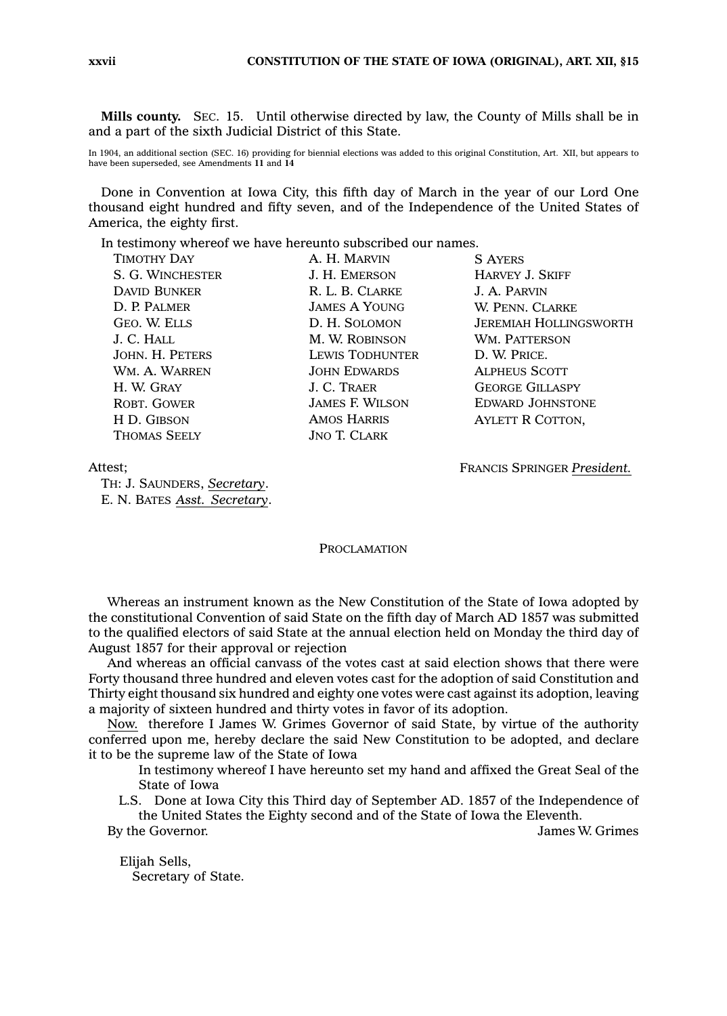**Mills county.** SEC. 15. Until otherwise directed by law, the County of Mills shall be in and <sup>a</sup> part of the sixth Judicial District of this State.

In 1904, an additional section (SEC. 16) providing for biennial elections was added to this original Constitution, Art. XII, but appears to have been superseded, see Amendments **11** and **14**

Done in Convention at Iowa City, this fifth day of March in the year of our Lord One thousand eight hundred and fifty seven, and of the Independence of the United States of America, the eighty first.

In testimony whereof we have hereunto subscribed our names.

| <b>TIMOTHY DAY</b>  | A. H. MARVIN           | <b>S AYERS</b>                |
|---------------------|------------------------|-------------------------------|
| S. G. WINCHESTER    | J. H. EMERSON          | <b>HARVEY J. SKIFF</b>        |
| <b>DAVID BUNKER</b> | R. L. B. CLARKE        | J. A. PARVIN                  |
| D. P. PALMER        | <b>JAMES A YOUNG</b>   | W. PENN. CLARKE               |
| GEO. W. ELLS        | D. H. SOLOMON          | <b>JEREMIAH HOLLINGSWORTH</b> |
| J. C. HALL          | M. W. ROBINSON         | WM. PATTERSON                 |
| JOHN. H. PETERS     | <b>LEWIS TODHUNTER</b> | D. W. PRICE.                  |
| WM. A. WARREN       | <b>JOHN EDWARDS</b>    | <b>ALPHEUS SCOTT</b>          |
| H. W. GRAY          | J. C. TRAER            | <b>GEORGE GILLASPY</b>        |
| ROBT. GOWER         | <b>JAMES F. WILSON</b> | EDWARD JOHNSTONE              |
| H D. GIBSON         | <b>AMOS HARRIS</b>     | <b>AYLETT R COTTON,</b>       |
| <b>THOMAS SEELY</b> | JNO T. CLARK           |                               |

TH: J. SAUNDERS, *Secretary*. E. N. BATES *Asst. Secretary*.

Attest; FRANCIS SPRINGER *President.*

PROCLAMATION

Whereas an instrument known as the New Constitution of the State of Iowa adopted by the constitutional Convention of said State on the fifth day of March AD 1857 was submitted to the qualified electors of said State at the annual election held on Monday the third day of August 1857 for their approval or rejection

And whereas an official canvass of the votes cast at said election shows that there were Forty thousand three hundred and eleven votes cast for the adoption of said Constitution and Thirty eight thousand six hundred and eighty one votes were cast against its adoption, leaving <sup>a</sup> majority of sixteen hundred and thirty votes in favor of its adoption.

Now. therefore I James W. Grimes Governor of said State, by virtue of the authority conferred upon me, hereby declare the said New Constitution to be adopted, and declare it to be the supreme law of the State of Iowa

In testimony whereof I have hereunto set my hand and affixed the Great Seal of the State of Iowa

L.S. Done at Iowa City this Third day of September AD. 1857 of the Independence of the United States the Eighty second and of the State of Iowa the Eleventh.

By the Governor. **Iames W. Grimes** W. Grimes **James W. Grimes** 

Elijah Sells, Secretary of State.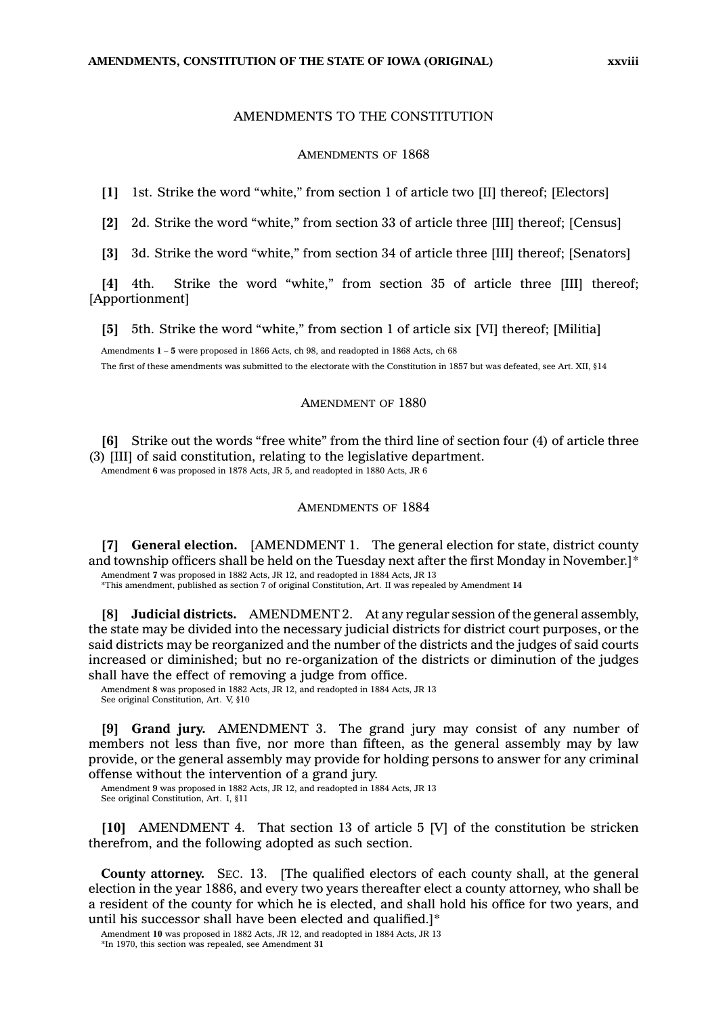#### AMENDMENTS OF 1868

**[1]** 1st. Strike the word "white," from section 1 of article two [II] thereof; [Electors]

**[2]** 2d. Strike the word "white," from section 33 of article three [III] thereof; [Census]

**[3]** 3d. Strike the word "white," from section 34 of article three [III] thereof; [Senators]

**[4]** 4th. Strike the word "white," from section 35 of article three [III] thereof; [Apportionment]

**[5]** 5th. Strike the word "white," from section 1 of article six [VI] thereof; [Militia]

Amendments **1** – **5** were proposed in 1866 Acts, ch 98, and readopted in 1868 Acts, ch 68 The first of these amendments was submitted to the electorate with the Constitution in 1857 but was defeated, see Art. XII, §14

#### AMENDMENT OF 1880

**[6]** Strike out the words "free white" from the third line of section four (4) of article three (3) [III] of said constitution, relating to the legislative department.

Amendment **6** was proposed in 1878 Acts, JR 5, and readopted in 1880 Acts, JR 6

# AMENDMENTS OF 1884

**[7] General election.** [AMENDMENT 1. The general election for state, district county and township officers shall be held on the Tuesday next after the first Monday in November.]\* Amendment 7 was proposed in 1882 Acts, JR 12, and readopted in 1884 Acts, JR 13

\*This amendment, published as section 7 of original Constitution, Art. II was repealed by Amendment **14**

**[8] Judicial districts.** AMENDMENT 2. At any regular session of the general assembly, the state may be divided into the necessary judicial districts for district court purposes, or the said districts may be reorganized and the number of the districts and the judges of said courts increased or diminished; but no re-organization of the districts or diminution of the judges shall have the effect of removing <sup>a</sup> judge from office.

Amendment **8** was proposed in 1882 Acts, JR 12, and readopted in 1884 Acts, JR 13 See original Constitution, Art. V, §10

**[9] Grand jury.** AMENDMENT 3. The grand jury may consist of any number of members not less than five, nor more than fifteen, as the general assembly may by law provide, or the general assembly may provide for holding persons to answer for any criminal offense without the intervention of <sup>a</sup> grand jury.

Amendment **9** was proposed in 1882 Acts, JR 12, and readopted in 1884 Acts, JR 13 See original Constitution, Art. I, §11

**[10]** AMENDMENT 4. That section 13 of article 5 [V] of the constitution be stricken therefrom, and the following adopted as such section.

**County attorney.** SEC. 13. [The qualified electors of each county shall, at the general election in the year 1886, and every two years thereafter elect <sup>a</sup> county attorney, who shall be <sup>a</sup> resident of the county for which he is elected, and shall hold his office for two years, and until his successor shall have been elected and qualified.]\*

Amendment **10** was proposed in 1882 Acts, JR 12, and readopted in 1884 Acts, JR 13 \*In 1970, this section was repealed, see Amendment **31**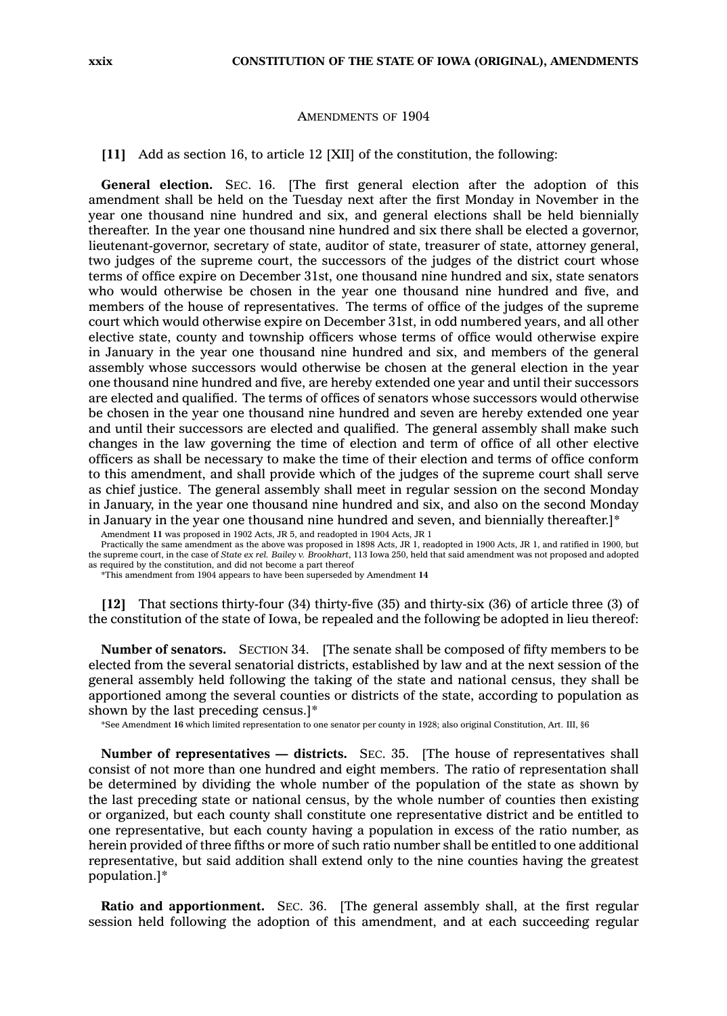#### AMENDMENTS OF 1904

# **[11]** Add as section 16, to article 12 [XII] of the constitution, the following:

**General election.** SEC. 16. [The first general election after the adoption of this amendment shall be held on the Tuesday next after the first Monday in November in the year one thousand nine hundred and six, and general elections shall be held biennially thereafter. In the year one thousand nine hundred and six there shall be elected <sup>a</sup> governor, lieutenant-governor, secretary of state, auditor of state, treasurer of state, attorney general, two judges of the supreme court, the successors of the judges of the district court whose terms of office expire on December 31st, one thousand nine hundred and six, state senators who would otherwise be chosen in the year one thousand nine hundred and five, and members of the house of representatives. The terms of office of the judges of the supreme court which would otherwise expire on December 31st, in odd numbered years, and all other elective state, county and township officers whose terms of office would otherwise expire in January in the year one thousand nine hundred and six, and members of the general assembly whose successors would otherwise be chosen at the general election in the year one thousand nine hundred and five, are hereby extended one year and until their successors are elected and qualified. The terms of offices of senators whose successors would otherwise be chosen in the year one thousand nine hundred and seven are hereby extended one year and until their successors are elected and qualified. The general assembly shall make such changes in the law governing the time of election and term of office of all other elective officers as shall be necessary to make the time of their election and terms of office conform to this amendment, and shall provide which of the judges of the supreme court shall serve as chief justice. The general assembly shall meet in regular session on the second Monday in January, in the year one thousand nine hundred and six, and also on the second Monday in January in the year one thousand nine hundred and seven, and biennially thereafter.]\*

Amendment **11** was proposed in 1902 Acts, JR 5, and readopted in 1904 Acts, JR 1

Practically the same amendment as the above was proposed in 1898 Acts, JR 1, readopted in 1900 Acts, JR 1, and ratified in 1900, but the supreme court, in the case of *State ex rel. Bailey v. Brookhart*, 113 Iowa 250, held that said amendment was not proposed and adopted as required by the constitution, and did not become <sup>a</sup> part thereof

\*This amendment from 1904 appears to have been superseded by Amendment **14**

**[12]** That sections thirty-four (34) thirty-five (35) and thirty-six (36) of article three (3) of the constitution of the state of Iowa, be repealed and the following be adopted in lieu thereof:

**Number of senators.** SECTION 34. [The senate shall be composed of fifty members to be elected from the several senatorial districts, established by law and at the next session of the general assembly held following the taking of the state and national census, they shall be apportioned among the several counties or districts of the state, according to population as shown by the last preceding census.]\*

\*See Amendment **16** which limited representation to one senator per county in 1928; also original Constitution, Art. III, §6

**Number of representatives — districts.** SEC. 35. [The house of representatives shall consist of not more than one hundred and eight members. The ratio of representation shall be determined by dividing the whole number of the population of the state as shown by the last preceding state or national census, by the whole number of counties then existing or organized, but each county shall constitute one representative district and be entitled to one representative, but each county having <sup>a</sup> population in excess of the ratio number, as herein provided of three fifths or more of such ratio number shall be entitled to one additional representative, but said addition shall extend only to the nine counties having the greatest population.]\*

**Ratio** and apportionment. SEC. 36. [The general assembly shall, at the first regular session held following the adoption of this amendment, and at each succeeding regular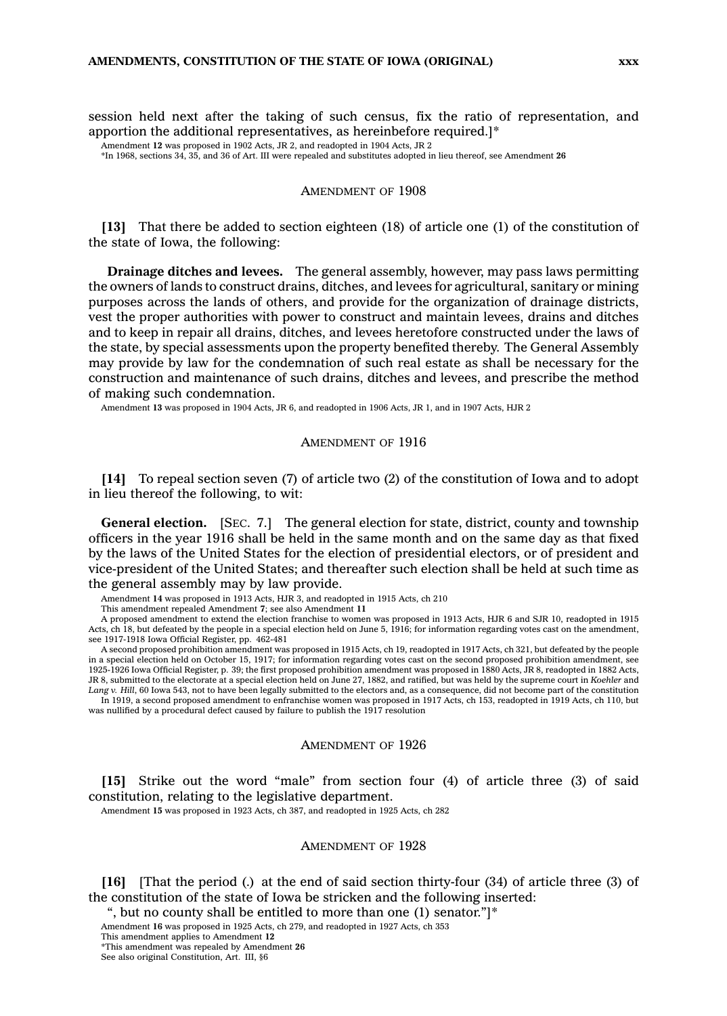session held next after the taking of such census, fix the ratio of representation, and apportion the additional representatives, as hereinbefore required.]\*

Amendment 12 was proposed in 1902 Acts, JR 2, and readopted in 1904 Acts, JR 2

\*In 1968, sections 34, 35, and 36 of Art. III were repealed and substitutes adopted in lieu thereof, see Amendment **26**

# AMENDMENT OF 1908

**[13]** That there be added to section eighteen (18) of article one (1) of the constitution of the state of Iowa, the following:

**Drainage ditches and levees.** The general assembly, however, may pass laws permitting the owners of lands to construct drains, ditches, and levees for agricultural, sanitary or mining purposes across the lands of others, and provide for the organization of drainage districts, vest the proper authorities with power to construct and maintain levees, drains and ditches and to keep in repair all drains, ditches, and levees heretofore constructed under the laws of the state, by special assessments upon the property benefited thereby. The General Assembly may provide by law for the condemnation of such real estate as shall be necessary for the construction and maintenance of such drains, ditches and levees, and prescribe the method of making such condemnation.

Amendment **13** was proposed in 1904 Acts, JR 6, and readopted in 1906 Acts, JR 1, and in 1907 Acts, HJR 2

# AMENDMENT OF 1916

**[14]** To repeal section seven (7) of article two (2) of the constitution of Iowa and to adopt in lieu thereof the following, to wit:

**General election.** [SEC. 7.] The general election for state, district, county and township officers in the year 1916 shall be held in the same month and on the same day as that fixed by the laws of the United States for the election of presidential electors, or of president and vice-president of the United States; and thereafter such election shall be held at such time as the general assembly may by law provide.

Amendment **14** was proposed in 1913 Acts, HJR 3, and readopted in 1915 Acts, ch 210

This amendment repealed Amendment **7**; see also Amendment **11**

A proposed amendment to extend the election franchise to women was proposed in 1913 Acts, HJR 6 and SJR 10, readopted in 1915 Acts, ch 18, but defeated by the people in <sup>a</sup> special election held on June 5, 1916; for information regarding votes cast on the amendment, see 1917-1918 Iowa Official Register, pp. 462-481

A second proposed prohibition amendment was proposed in 1915 Acts, ch 19, readopted in 1917 Acts, ch 321, but defeated by the people in <sup>a</sup> special election held on October 15, 1917; for information regarding votes cast on the second proposed prohibition amendment, see 1925-1926 Iowa Official Register, p. 39; the first proposed prohibition amendment was proposed in 1880 Acts, JR 8, readopted in 1882 Acts, JR 8, submitted to the electorate at <sup>a</sup> special election held on June 27, 1882, and ratified, but was held by the supreme court in *Koehler* and Lang v. Hill, 60 Iowa 543, not to have been legally submitted to the electors and, as a consequence, did not become part of the constitution In 1919, <sup>a</sup> second proposed amendment to enfranchise women was proposed in 1917 Acts, ch 153, readopted in 1919 Acts, ch 110, but was nullified by <sup>a</sup> procedural defect caused by failure to publish the 1917 resolution

#### AMENDMENT OF 1926

**[15]** Strike out the word "male" from section four (4) of article three (3) of said constitution, relating to the legislative department.

Amendment **15** was proposed in 1923 Acts, ch 387, and readopted in 1925 Acts, ch 282

#### AMENDMENT OF 1928

**[16]** [That the period (.) at the end of said section thirty-four (34) of article three (3) of the constitution of the state of Iowa be stricken and the following inserted:

", but no county shall be entitled to more than one (1) senator."]\*

Amendment **16** was proposed in 1925 Acts, ch 279, and readopted in 1927 Acts, ch 353

This amendment applies to Amendment **12**

<sup>\*</sup>This amendment was repealed by Amendment **26**

See also original Constitution, Art. III, §6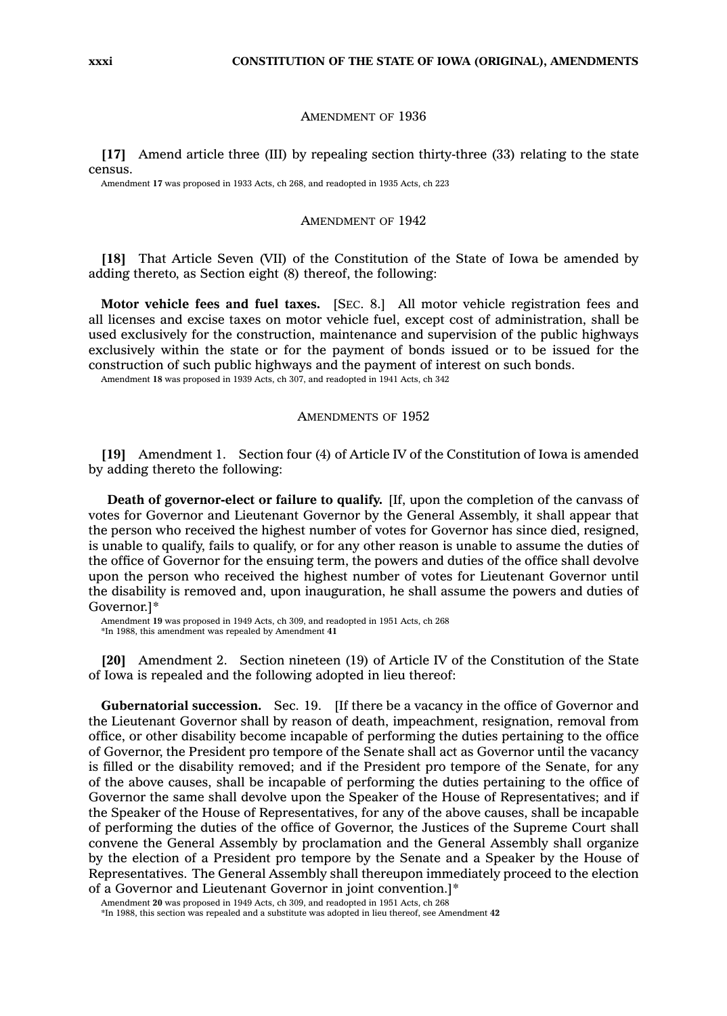#### AMENDMENT OF 1936

**[17]** Amend article three (III) by repealing section thirty-three (33) relating to the state census.

Amendment **17** was proposed in 1933 Acts, ch 268, and readopted in 1935 Acts, ch 223

# AMENDMENT OF 1942

**[18]** That Article Seven (VII) of the Constitution of the State of Iowa be amended by adding thereto, as Section eight (8) thereof, the following:

**Motor vehicle fees and fuel taxes.** [SEC. 8.] All motor vehicle registration fees and all licenses and excise taxes on motor vehicle fuel, except cost of administration, shall be used exclusively for the construction, maintenance and supervision of the public highways exclusively within the state or for the payment of bonds issued or to be issued for the construction of such public highways and the payment of interest on such bonds.

Amendment **18** was proposed in 1939 Acts, ch 307, and readopted in 1941 Acts, ch 342

#### AMENDMENTS OF 1952

**[19]** Amendment 1. Section four (4) of Article IV of the Constitution of Iowa is amended by adding thereto the following:

**Death of governor-elect or failure to qualify.** [If, upon the completion of the canvass of votes for Governor and Lieutenant Governor by the General Assembly, it shall appear that the person who received the highest number of votes for Governor has since died, resigned, is unable to qualify, fails to qualify, or for any other reason is unable to assume the duties of the office of Governor for the ensuing term, the powers and duties of the office shall devolve upon the person who received the highest number of votes for Lieutenant Governor until the disability is removed and, upon inauguration, he shall assume the powers and duties of Governor.]\*

Amendment **19** was proposed in 1949 Acts, ch 309, and readopted in 1951 Acts, ch 268 \*In 1988, this amendment was repealed by Amendment **41**

**[20]** Amendment 2. Section nineteen (19) of Article IV of the Constitution of the State of Iowa is repealed and the following adopted in lieu thereof:

**Gubernatorial succession.** Sec. 19. [If there be <sup>a</sup> vacancy in the office of Governor and the Lieutenant Governor shall by reason of death, impeachment, resignation, removal from office, or other disability become incapable of performing the duties pertaining to the office of Governor, the President pro tempore of the Senate shall act as Governor until the vacancy is filled or the disability removed; and if the President pro tempore of the Senate, for any of the above causes, shall be incapable of performing the duties pertaining to the office of Governor the same shall devolve upon the Speaker of the House of Representatives; and if the Speaker of the House of Representatives, for any of the above causes, shall be incapable of performing the duties of the office of Governor, the Justices of the Supreme Court shall convene the General Assembly by proclamation and the General Assembly shall organize by the election of <sup>a</sup> President pro tempore by the Senate and <sup>a</sup> Speaker by the House of Representatives. The General Assembly shall thereupon immediately proceed to the election of <sup>a</sup> Governor and Lieutenant Governor in joint convention.]\*

Amendment **20** was proposed in 1949 Acts, ch 309, and readopted in 1951 Acts, ch 268

\*In 1988, this section was repealed and <sup>a</sup> substitute was adopted in lieu thereof, see Amendment **42**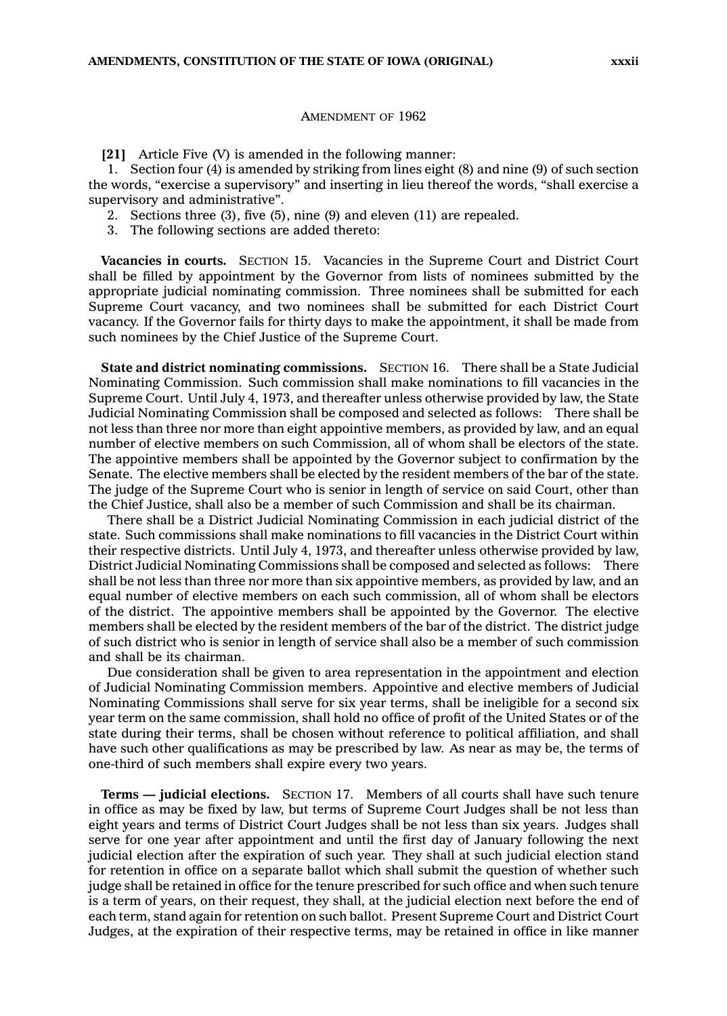## AMENDMENT OF 1962

**[21]** Article Five (V) is amended in the following manner:

1. Section four (4) is amended by striking from lines eight (8) and nine (9) of such section the words, "exercise <sup>a</sup> supervisory" and inserting in lieu thereof the words, "shall exercise <sup>a</sup> supervisory and administrative".

- 2. Sections three (3), five (5), nine (9) and eleven (11) are repealed.
- 3. The following sections are added thereto:

**Vacancies in courts.** SECTION 15. Vacancies in the Supreme Court and District Court shall be filled by appointment by the Governor from lists of nominees submitted by the appropriate judicial nominating commission. Three nominees shall be submitted for each Supreme Court vacancy, and two nominees shall be submitted for each District Court vacancy. If the Governor fails for thirty days to make the appointment, it shall be made from such nominees by the Chief Justice of the Supreme Court.

**State and district nominating commissions.** SECTION 16. There shall be <sup>a</sup> State Judicial Nominating Commission. Such commission shall make nominations to fill vacancies in the Supreme Court. Until July 4, 1973, and thereafter unless otherwise provided by law, the State Judicial Nominating Commission shall be composed and selected as follows: There shall be not less than three nor more than eight appointive members, as provided by law, and an equal number of elective members on such Commission, all of whom shall be electors of the state. The appointive members shall be appointed by the Governor subject to confirmation by the Senate. The elective members shall be elected by the resident members of the bar of the state. The judge of the Supreme Court who is senior in length of service on said Court, other than the Chief Justice, shall also be <sup>a</sup> member of such Commission and shall be its chairman.

There shall be <sup>a</sup> District Judicial Nominating Commission in each judicial district of the state. Such commissions shall make nominations to fill vacancies in the District Court within their respective districts. Until July 4, 1973, and thereafter unless otherwise provided by law, District Judicial Nominating Commissions shall be composed and selected as follows: There shall be not less than three nor more than six appointive members, as provided by law, and an equal number of elective members on each such commission, all of whom shall be electors of the district. The appointive members shall be appointed by the Governor. The elective members shall be elected by the resident members of the bar of the district. The district judge of such district who is senior in length of service shall also be <sup>a</sup> member of such commission and shall be its chairman.

Due consideration shall be given to area representation in the appointment and election of Judicial Nominating Commission members. Appointive and elective members of Judicial Nominating Commissions shall serve for six year terms, shall be ineligible for <sup>a</sup> second six year term on the same commission, shall hold no office of profit of the United States or of the state during their terms, shall be chosen without reference to political affiliation, and shall have such other qualifications as may be prescribed by law. As near as may be, the terms of one-third of such members shall expire every two years.

**Terms** — **judicial elections.** SECTION 17. Members of all courts shall have such tenure in office as may be fixed by law, but terms of Supreme Court Judges shall be not less than eight years and terms of District Court Judges shall be not less than six years. Judges shall serve for one year after appointment and until the first day of January following the next judicial election after the expiration of such year. They shall at such judicial election stand for retention in office on <sup>a</sup> separate ballot which shall submit the question of whether such judge shall be retained in office for the tenure prescribed for such office and when such tenure is <sup>a</sup> term of years, on their request, they shall, at the judicial election next before the end of each term, stand again for retention on such ballot. Present Supreme Court and District Court Judges, at the expiration of their respective terms, may be retained in office in like manner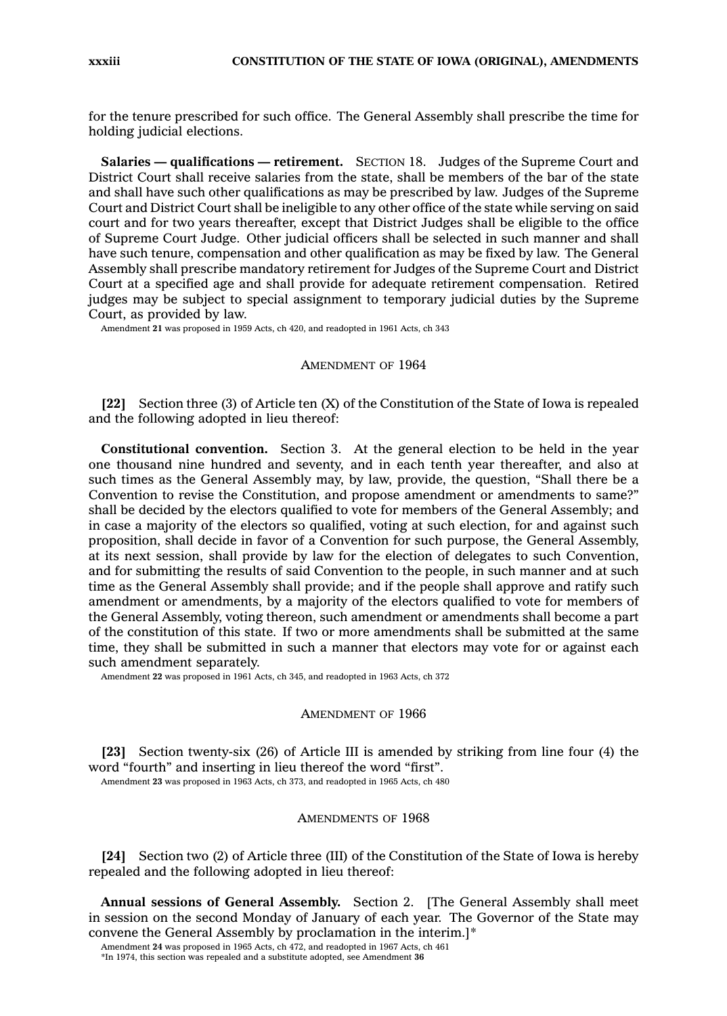for the tenure prescribed for such office. The General Assembly shall prescribe the time for holding judicial elections.

**Salaries — qualifications — retirement.** SECTION 18. Judges of the Supreme Court and District Court shall receive salaries from the state, shall be members of the bar of the state and shall have such other qualifications as may be prescribed by law. Judges of the Supreme Court and District Court shall be ineligible to any other office of the state while serving on said court and for two years thereafter, except that District Judges shall be eligible to the office of Supreme Court Judge. Other judicial officers shall be selected in such manner and shall have such tenure, compensation and other qualification as may be fixed by law. The General Assembly shall prescribe mandatory retirement for Judges of the Supreme Court and District Court at <sup>a</sup> specified age and shall provide for adequate retirement compensation. Retired judges may be subject to special assignment to temporary judicial duties by the Supreme Court, as provided by law.

Amendment **21** was proposed in 1959 Acts, ch 420, and readopted in 1961 Acts, ch 343

#### AMENDMENT OF 1964

**[22]** Section three (3) of Article ten (X) of the Constitution of the State of Iowa is repealed and the following adopted in lieu thereof:

**Constitutional convention.** Section 3. At the general election to be held in the year one thousand nine hundred and seventy, and in each tenth year thereafter, and also at such times as the General Assembly may, by law, provide, the question, "Shall there be <sup>a</sup> Convention to revise the Constitution, and propose amendment or amendments to same?" shall be decided by the electors qualified to vote for members of the General Assembly; and in case <sup>a</sup> majority of the electors so qualified, voting at such election, for and against such proposition, shall decide in favor of <sup>a</sup> Convention for such purpose, the General Assembly, at its next session, shall provide by law for the election of delegates to such Convention, and for submitting the results of said Convention to the people, in such manner and at such time as the General Assembly shall provide; and if the people shall approve and ratify such amendment or amendments, by <sup>a</sup> majority of the electors qualified to vote for members of the General Assembly, voting thereon, such amendment or amendments shall become <sup>a</sup> part of the constitution of this state. If two or more amendments shall be submitted at the same time, they shall be submitted in such <sup>a</sup> manner that electors may vote for or against each such amendment separately.

Amendment **22** was proposed in 1961 Acts, ch 345, and readopted in 1963 Acts, ch 372

#### AMENDMENT OF 1966

**[23]** Section twenty-six (26) of Article III is amended by striking from line four (4) the word "fourth" and inserting in lieu thereof the word "first".

Amendment **23** was proposed in 1963 Acts, ch 373, and readopted in 1965 Acts, ch 480

# AMENDMENTS OF 1968

**[24]** Section two (2) of Article three (III) of the Constitution of the State of Iowa is hereby repealed and the following adopted in lieu thereof:

**Annual sessions of General Assembly.** Section 2. [The General Assembly shall meet in session on the second Monday of January of each year. The Governor of the State may convene the General Assembly by proclamation in the interim.]\*

Amendment **24** was proposed in 1965 Acts, ch 472, and readopted in 1967 Acts, ch 461

<sup>\*</sup>In 1974, this section was repealed and <sup>a</sup> substitute adopted, see Amendment **36**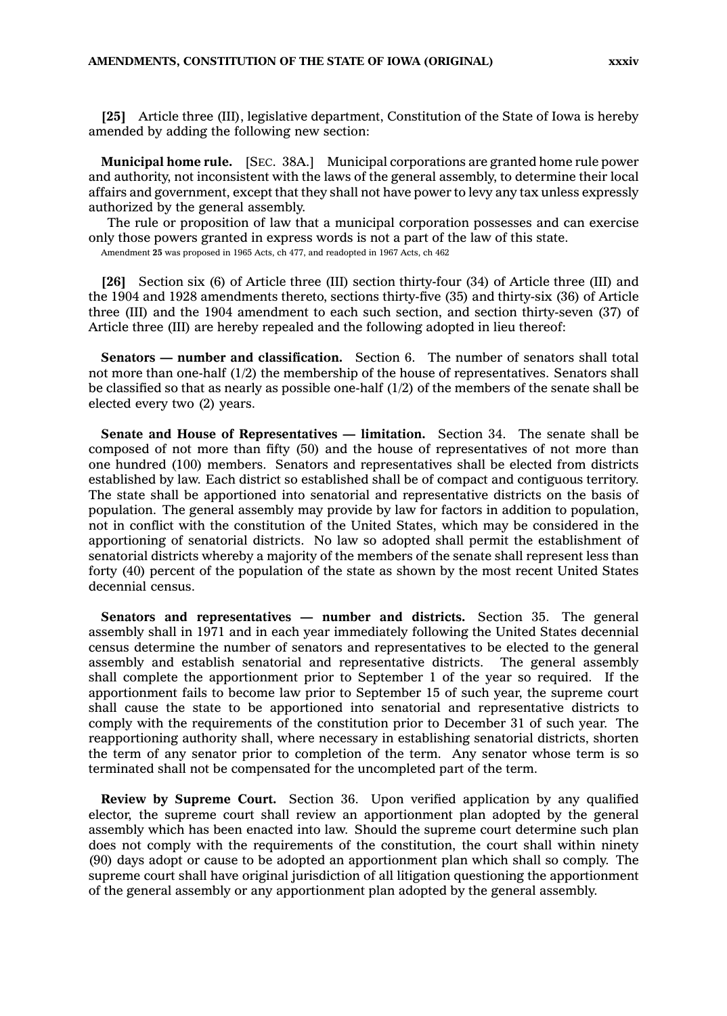**[25]** Article three (III), legislative department, Constitution of the State of Iowa is hereby amended by adding the following new section:

**Municipal home rule.** [SEC. 38A.] Municipal corporations are granted home rule power and authority, not inconsistent with the laws of the general assembly, to determine their local affairs and government, except that they shall not have power to levy any tax unless expressly authorized by the general assembly.

The rule or proposition of law that <sup>a</sup> municipal corporation possesses and can exercise only those powers granted in express words is not <sup>a</sup> part of the law of this state.

Amendment **25** was proposed in 1965 Acts, ch 477, and readopted in 1967 Acts, ch 462

**[26]** Section six (6) of Article three (III) section thirty-four (34) of Article three (III) and the 1904 and 1928 amendments thereto, sections thirty-five (35) and thirty-six (36) of Article three (III) and the 1904 amendment to each such section, and section thirty-seven (37) of Article three (III) are hereby repealed and the following adopted in lieu thereof:

**Senators — number and classification.** Section 6. The number of senators shall total not more than one-half (1/2) the membership of the house of representatives. Senators shall be classified so that as nearly as possible one-half  $(1/2)$  of the members of the senate shall be elected every two (2) years.

**Senate and House of Representatives — limitation.** Section 34. The senate shall be composed of not more than fifty (50) and the house of representatives of not more than one hundred (100) members. Senators and representatives shall be elected from districts established by law. Each district so established shall be of compact and contiguous territory. The state shall be apportioned into senatorial and representative districts on the basis of population. The general assembly may provide by law for factors in addition to population, not in conflict with the constitution of the United States, which may be considered in the apportioning of senatorial districts. No law so adopted shall permit the establishment of senatorial districts whereby <sup>a</sup> majority of the members of the senate shall represent less than forty (40) percent of the population of the state as shown by the most recent United States decennial census.

**Senators and representatives — number and districts.** Section 35. The general assembly shall in 1971 and in each year immediately following the United States decennial census determine the number of senators and representatives to be elected to the general assembly and establish senatorial and representative districts. The general assembly shall complete the apportionment prior to September 1 of the year so required. If the apportionment fails to become law prior to September 15 of such year, the supreme court shall cause the state to be apportioned into senatorial and representative districts to comply with the requirements of the constitution prior to December 31 of such year. The reapportioning authority shall, where necessary in establishing senatorial districts, shorten the term of any senator prior to completion of the term. Any senator whose term is so terminated shall not be compensated for the uncompleted part of the term.

**Review by Supreme Court.** Section 36. Upon verified application by any qualified elector, the supreme court shall review an apportionment plan adopted by the general assembly which has been enacted into law. Should the supreme court determine such plan does not comply with the requirements of the constitution, the court shall within ninety (90) days adopt or cause to be adopted an apportionment plan which shall so comply. The supreme court shall have original jurisdiction of all litigation questioning the apportionment of the general assembly or any apportionment plan adopted by the general assembly.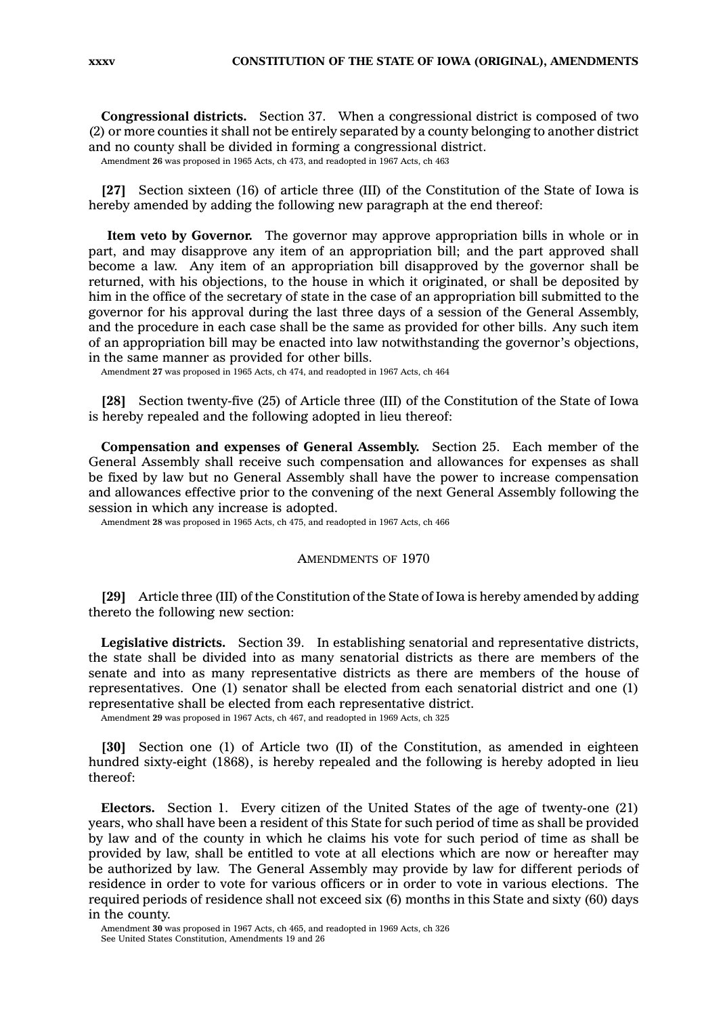**Congressional districts.** Section 37. When <sup>a</sup> congressional district is composed of two (2) or more counties it shall not be entirely separated by <sup>a</sup> county belonging to another district and no county shall be divided in forming <sup>a</sup> congressional district.

Amendment **26** was proposed in 1965 Acts, ch 473, and readopted in 1967 Acts, ch 463

**[27]** Section sixteen (16) of article three (III) of the Constitution of the State of Iowa is hereby amended by adding the following new paragraph at the end thereof:

**Item veto by Governor.** The governor may approve appropriation bills in whole or in part, and may disapprove any item of an appropriation bill; and the part approved shall become <sup>a</sup> law. Any item of an appropriation bill disapproved by the governor shall be returned, with his objections, to the house in which it originated, or shall be deposited by him in the office of the secretary of state in the case of an appropriation bill submitted to the governor for his approval during the last three days of <sup>a</sup> session of the General Assembly, and the procedure in each case shall be the same as provided for other bills. Any such item of an appropriation bill may be enacted into law notwithstanding the governor's objections, in the same manner as provided for other bills.

Amendment **27** was proposed in 1965 Acts, ch 474, and readopted in 1967 Acts, ch 464

**[28]** Section twenty-five (25) of Article three (III) of the Constitution of the State of Iowa is hereby repealed and the following adopted in lieu thereof:

**Compensation and expenses of General Assembly.** Section 25. Each member of the General Assembly shall receive such compensation and allowances for expenses as shall be fixed by law but no General Assembly shall have the power to increase compensation and allowances effective prior to the convening of the next General Assembly following the session in which any increase is adopted.

Amendment **28** was proposed in 1965 Acts, ch 475, and readopted in 1967 Acts, ch 466

#### AMENDMENTS OF 1970

**[29]** Article three (III) of the Constitution of the State of Iowa is hereby amended by adding thereto the following new section:

**Legislative districts.** Section 39. In establishing senatorial and representative districts, the state shall be divided into as many senatorial districts as there are members of the senate and into as many representative districts as there are members of the house of representatives. One (1) senator shall be elected from each senatorial district and one (1) representative shall be elected from each representative district.

Amendment **29** was proposed in 1967 Acts, ch 467, and readopted in 1969 Acts, ch 325

**[30]** Section one (1) of Article two (II) of the Constitution, as amended in eighteen hundred sixty-eight (1868), is hereby repealed and the following is hereby adopted in lieu thereof:

**Electors.** Section 1. Every citizen of the United States of the age of twenty-one (21) years, who shall have been <sup>a</sup> resident of this State for such period of time as shall be provided by law and of the county in which he claims his vote for such period of time as shall be provided by law, shall be entitled to vote at all elections which are now or hereafter may be authorized by law. The General Assembly may provide by law for different periods of residence in order to vote for various officers or in order to vote in various elections. The required periods of residence shall not exceed six (6) months in this State and sixty (60) days in the county.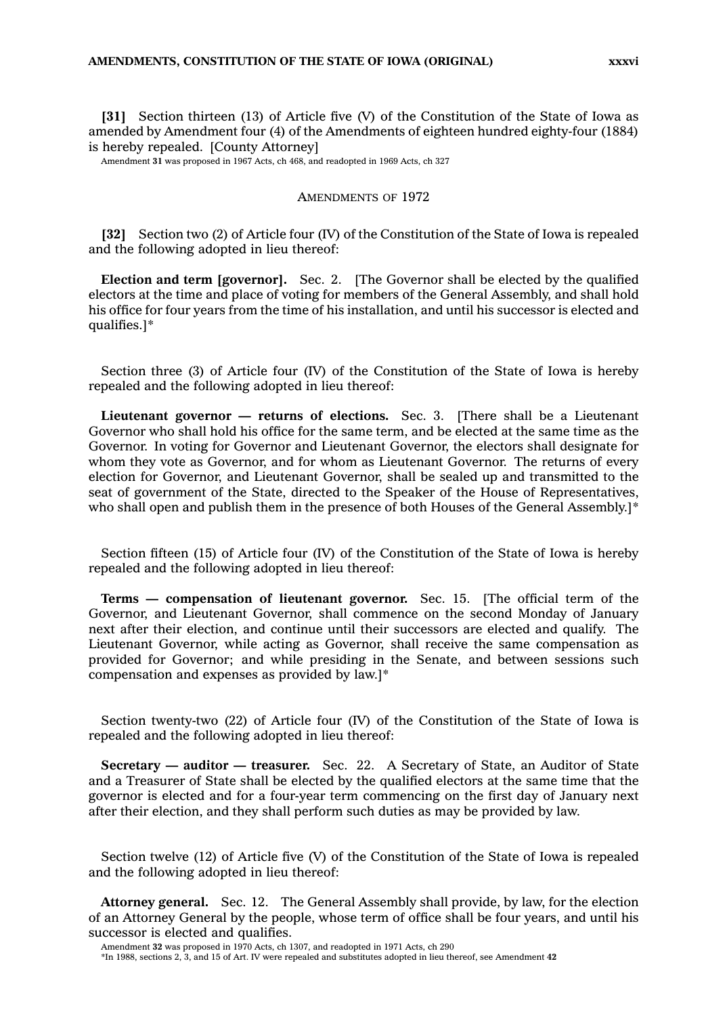**[31]** Section thirteen (13) of Article five (V) of the Constitution of the State of Iowa as amended by Amendment four (4) of the Amendments of eighteen hundred eighty-four (1884) is hereby repealed. [County Attorney]

Amendment **31** was proposed in 1967 Acts, ch 468, and readopted in 1969 Acts, ch 327

#### AMENDMENTS OF 1972

**[32]** Section two (2) of Article four (IV) of the Constitution of the State of Iowa is repealed and the following adopted in lieu thereof:

**Election and term [governor].** Sec. 2. [The Governor shall be elected by the qualified electors at the time and place of voting for members of the General Assembly, and shall hold his office for four years from the time of his installation, and until his successor is elected and qualifies.]\*

Section three (3) of Article four (IV) of the Constitution of the State of Iowa is hereby repealed and the following adopted in lieu thereof:

**Lieutenant governor — returns of elections.** Sec. 3. [There shall be <sup>a</sup> Lieutenant Governor who shall hold his office for the same term, and be elected at the same time as the Governor. In voting for Governor and Lieutenant Governor, the electors shall designate for whom they vote as Governor, and for whom as Lieutenant Governor. The returns of every election for Governor, and Lieutenant Governor, shall be sealed up and transmitted to the seat of government of the State, directed to the Speaker of the House of Representatives, who shall open and publish them in the presence of both Houses of the General Assembly.]\*

Section fifteen (15) of Article four (IV) of the Constitution of the State of Iowa is hereby repealed and the following adopted in lieu thereof:

**Terms — compensation of lieutenant governor.** Sec. 15. [The official term of the Governor, and Lieutenant Governor, shall commence on the second Monday of January next after their election, and continue until their successors are elected and qualify. The Lieutenant Governor, while acting as Governor, shall receive the same compensation as provided for Governor; and while presiding in the Senate, and between sessions such compensation and expenses as provided by law.]\*

Section twenty-two (22) of Article four (IV) of the Constitution of the State of Iowa is repealed and the following adopted in lieu thereof:

**Secretary — auditor — treasurer.** Sec. 22. A Secretary of State, an Auditor of State and <sup>a</sup> Treasurer of State shall be elected by the qualified electors at the same time that the governor is elected and for <sup>a</sup> four-year term commencing on the first day of January next after their election, and they shall perform such duties as may be provided by law.

Section twelve (12) of Article five (V) of the Constitution of the State of Iowa is repealed and the following adopted in lieu thereof:

**Attorney general.** Sec. 12. The General Assembly shall provide, by law, for the election of an Attorney General by the people, whose term of office shall be four years, and until his successor is elected and qualifies.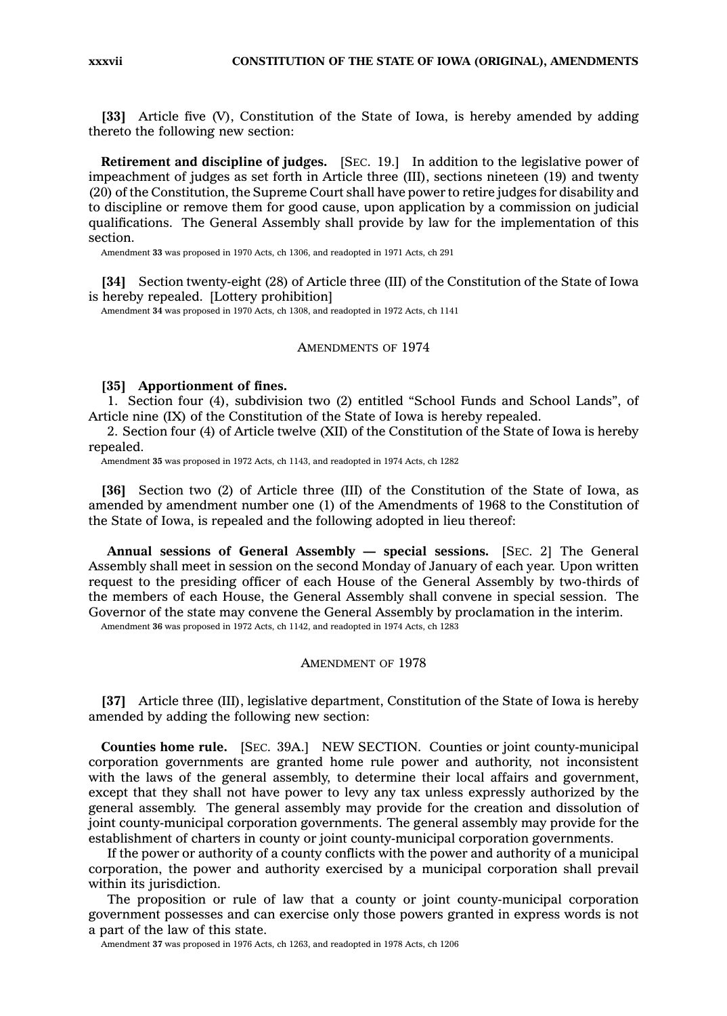**[33]** Article five (V), Constitution of the State of Iowa, is hereby amended by adding thereto the following new section:

**Retirement and discipline of judges.** [SEC. 19.] In addition to the legislative power of impeachment of judges as set forth in Article three (III), sections nineteen (19) and twenty (20) of the Constitution, the Supreme Court shall have power to retire judges for disability and to discipline or remove them for good cause, upon application by <sup>a</sup> commission on judicial qualifications. The General Assembly shall provide by law for the implementation of this section.

Amendment **33** was proposed in 1970 Acts, ch 1306, and readopted in 1971 Acts, ch 291

**[34]** Section twenty-eight (28) of Article three (III) of the Constitution of the State of Iowa is hereby repealed. [Lottery prohibition]

Amendment **34** was proposed in 1970 Acts, ch 1308, and readopted in 1972 Acts, ch 1141

# AMENDMENTS OF 1974

# **[35] Apportionment of fines.**

1. Section four (4), subdivision two (2) entitled "School Funds and School Lands", of Article nine (IX) of the Constitution of the State of Iowa is hereby repealed.

2. Section four (4) of Article twelve (XII) of the Constitution of the State of Iowa is hereby repealed.

Amendment **35** was proposed in 1972 Acts, ch 1143, and readopted in 1974 Acts, ch 1282

**[36]** Section two (2) of Article three (III) of the Constitution of the State of Iowa, as amended by amendment number one (1) of the Amendments of 1968 to the Constitution of the State of Iowa, is repealed and the following adopted in lieu thereof:

**Annual sessions of General Assembly — special sessions.** [SEC. 2] The General Assembly shall meet in session on the second Monday of January of each year. Upon written request to the presiding officer of each House of the General Assembly by two-thirds of the members of each House, the General Assembly shall convene in special session. The Governor of the state may convene the General Assembly by proclamation in the interim.

Amendment **36** was proposed in 1972 Acts, ch 1142, and readopted in 1974 Acts, ch 1283

#### AMENDMENT OF 1978

**[37]** Article three (III), legislative department, Constitution of the State of Iowa is hereby amended by adding the following new section:

**Counties home rule.** [SEC. 39A.] NEW SECTION. Counties or joint county-municipal corporation governments are granted home rule power and authority, not inconsistent with the laws of the general assembly, to determine their local affairs and government, except that they shall not have power to levy any tax unless expressly authorized by the general assembly. The general assembly may provide for the creation and dissolution of joint county-municipal corporation governments. The general assembly may provide for the establishment of charters in county or joint county-municipal corporation governments.

If the power or authority of <sup>a</sup> county conflicts with the power and authority of <sup>a</sup> municipal corporation, the power and authority exercised by <sup>a</sup> municipal corporation shall prevail within its jurisdiction.

The proposition or rule of law that <sup>a</sup> county or joint county-municipal corporation government possesses and can exercise only those powers granted in express words is not <sup>a</sup> part of the law of this state.

Amendment **37** was proposed in 1976 Acts, ch 1263, and readopted in 1978 Acts, ch 1206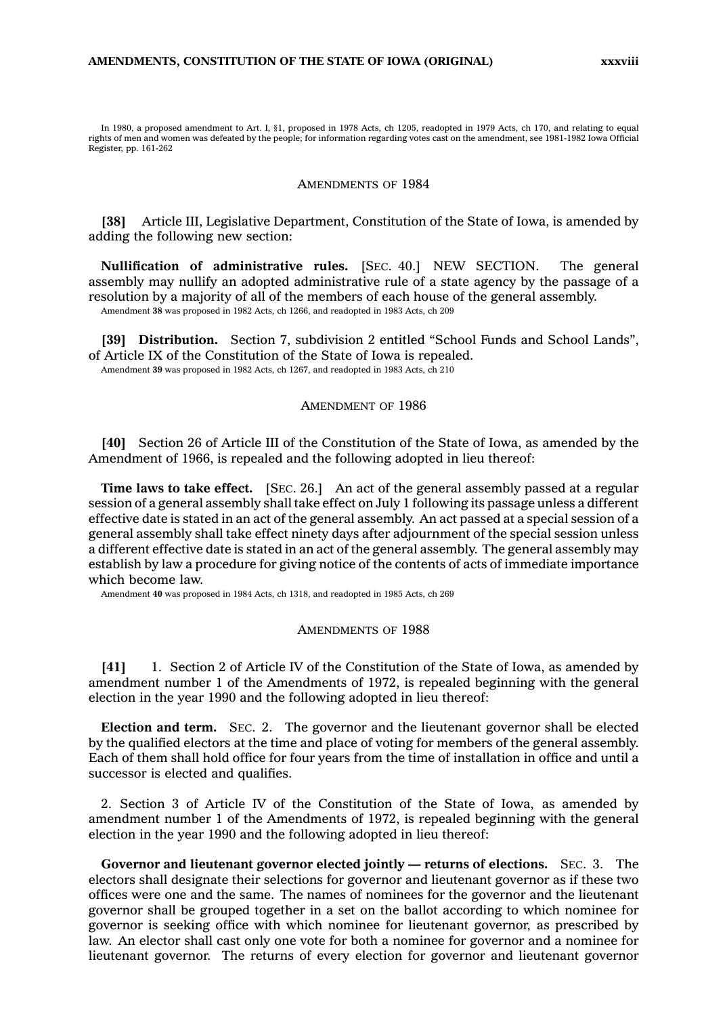In 1980, <sup>a</sup> proposed amendment to Art. I, §1, proposed in 1978 Acts, ch 1205, readopted in 1979 Acts, ch 170, and relating to equal rights of men and women was defeated by the people; for information regarding votes cast on the amendment, see 1981-1982 Iowa Official Register, pp. 161-262

#### AMENDMENTS OF 1984

**[38]** Article III, Legislative Department, Constitution of the State of Iowa, is amended by adding the following new section:

**Nullification of administrative rules.** [SEC. 40.] NEW SECTION. The general assembly may nullify an adopted administrative rule of <sup>a</sup> state agency by the passage of <sup>a</sup> resolution by <sup>a</sup> majority of all of the members of each house of the general assembly.

Amendment **38** was proposed in 1982 Acts, ch 1266, and readopted in 1983 Acts, ch 209

**[39] Distribution.** Section 7, subdivision 2 entitled "School Funds and School Lands", of Article IX of the Constitution of the State of Iowa is repealed. Amendment **39** was proposed in 1982 Acts, ch 1267, and readopted in 1983 Acts, ch 210

#### AMENDMENT OF 1986

**[40]** Section 26 of Article III of the Constitution of the State of Iowa, as amended by the Amendment of 1966, is repealed and the following adopted in lieu thereof:

**Time laws to take effect.** [SEC. 26.] An act of the general assembly passed at <sup>a</sup> regular session of <sup>a</sup> general assembly shall take effect on July 1 following its passage unless <sup>a</sup> different effective date is stated in an act of the general assembly. An act passed at <sup>a</sup> special session of <sup>a</sup> general assembly shall take effect ninety days after adjournment of the special session unless <sup>a</sup> different effective date is stated in an act of the general assembly. The general assembly may establish by law <sup>a</sup> procedure for giving notice of the contents of acts of immediate importance which become law.

Amendment **40** was proposed in 1984 Acts, ch 1318, and readopted in 1985 Acts, ch 269

## AMENDMENTS OF 1988

**[41]** 1. Section 2 of Article IV of the Constitution of the State of Iowa, as amended by amendment number 1 of the Amendments of 1972, is repealed beginning with the general election in the year 1990 and the following adopted in lieu thereof:

**Election and term.** SEC. 2. The governor and the lieutenant governor shall be elected by the qualified electors at the time and place of voting for members of the general assembly. Each of them shall hold office for four years from the time of installation in office and until <sup>a</sup> successor is elected and qualifies.

2. Section 3 of Article IV of the Constitution of the State of Iowa, as amended by amendment number 1 of the Amendments of 1972, is repealed beginning with the general election in the year 1990 and the following adopted in lieu thereof:

**Governor and lieutenant governor elected jointly — returns of elections.** SEC. 3. The electors shall designate their selections for governor and lieutenant governor as if these two offices were one and the same. The names of nominees for the governor and the lieutenant governor shall be grouped together in <sup>a</sup> set on the ballot according to which nominee for governor is seeking office with which nominee for lieutenant governor, as prescribed by law. An elector shall cast only one vote for both <sup>a</sup> nominee for governor and <sup>a</sup> nominee for lieutenant governor. The returns of every election for governor and lieutenant governor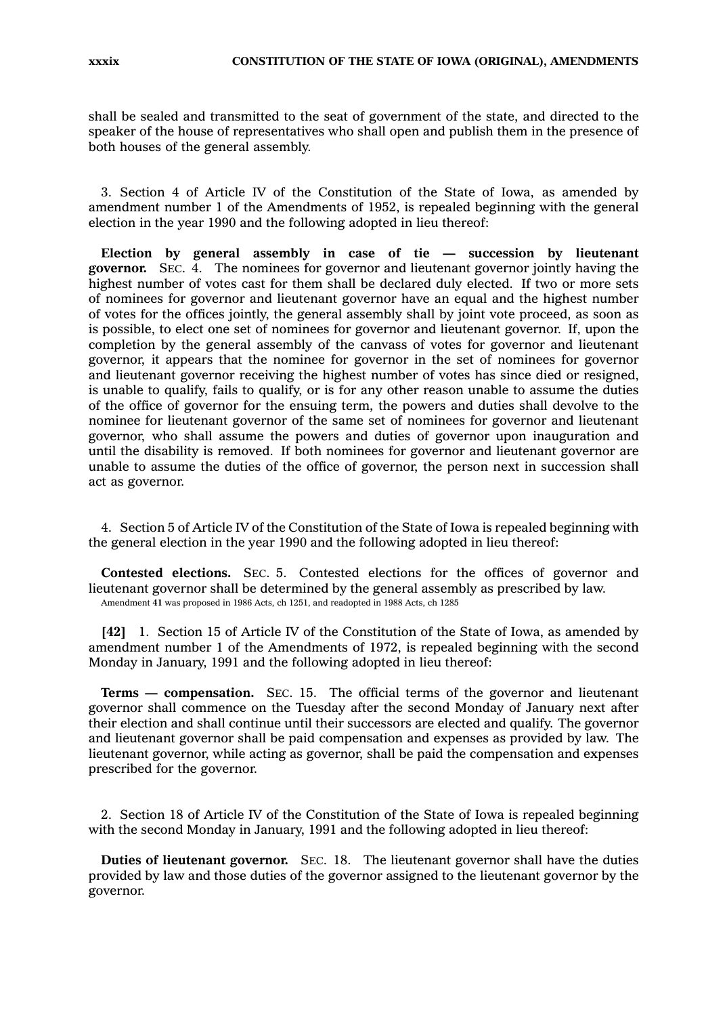shall be sealed and transmitted to the seat of government of the state, and directed to the speaker of the house of representatives who shall open and publish them in the presence of both houses of the general assembly.

3. Section 4 of Article IV of the Constitution of the State of Iowa, as amended by amendment number 1 of the Amendments of 1952, is repealed beginning with the general election in the year 1990 and the following adopted in lieu thereof:

**Election by general assembly in case of tie — succession by lieutenant governor.** SEC. 4. The nominees for governor and lieutenant governor jointly having the highest number of votes cast for them shall be declared duly elected. If two or more sets of nominees for governor and lieutenant governor have an equal and the highest number of votes for the offices jointly, the general assembly shall by joint vote proceed, as soon as is possible, to elect one set of nominees for governor and lieutenant governor. If, upon the completion by the general assembly of the canvass of votes for governor and lieutenant governor, it appears that the nominee for governor in the set of nominees for governor and lieutenant governor receiving the highest number of votes has since died or resigned, is unable to qualify, fails to qualify, or is for any other reason unable to assume the duties of the office of governor for the ensuing term, the powers and duties shall devolve to the nominee for lieutenant governor of the same set of nominees for governor and lieutenant governor, who shall assume the powers and duties of governor upon inauguration and until the disability is removed. If both nominees for governor and lieutenant governor are unable to assume the duties of the office of governor, the person next in succession shall act as governor.

4. Section 5 of Article IV of the Constitution of the State of Iowa is repealed beginning with the general election in the year 1990 and the following adopted in lieu thereof:

**Contested elections.** SEC. 5. Contested elections for the offices of governor and lieutenant governor shall be determined by the general assembly as prescribed by law. Amendment **41** was proposed in 1986 Acts, ch 1251, and readopted in 1988 Acts, ch 1285

**[42]** 1. Section 15 of Article IV of the Constitution of the State of Iowa, as amended by amendment number 1 of the Amendments of 1972, is repealed beginning with the second Monday in January, 1991 and the following adopted in lieu thereof:

**Terms — compensation.** SEC. 15. The official terms of the governor and lieutenant governor shall commence on the Tuesday after the second Monday of January next after their election and shall continue until their successors are elected and qualify. The governor and lieutenant governor shall be paid compensation and expenses as provided by law. The lieutenant governor, while acting as governor, shall be paid the compensation and expenses prescribed for the governor.

2. Section 18 of Article IV of the Constitution of the State of Iowa is repealed beginning with the second Monday in January, 1991 and the following adopted in lieu thereof:

**Duties of lieutenant governor.** SEC. 18. The lieutenant governor shall have the duties provided by law and those duties of the governor assigned to the lieutenant governor by the governor.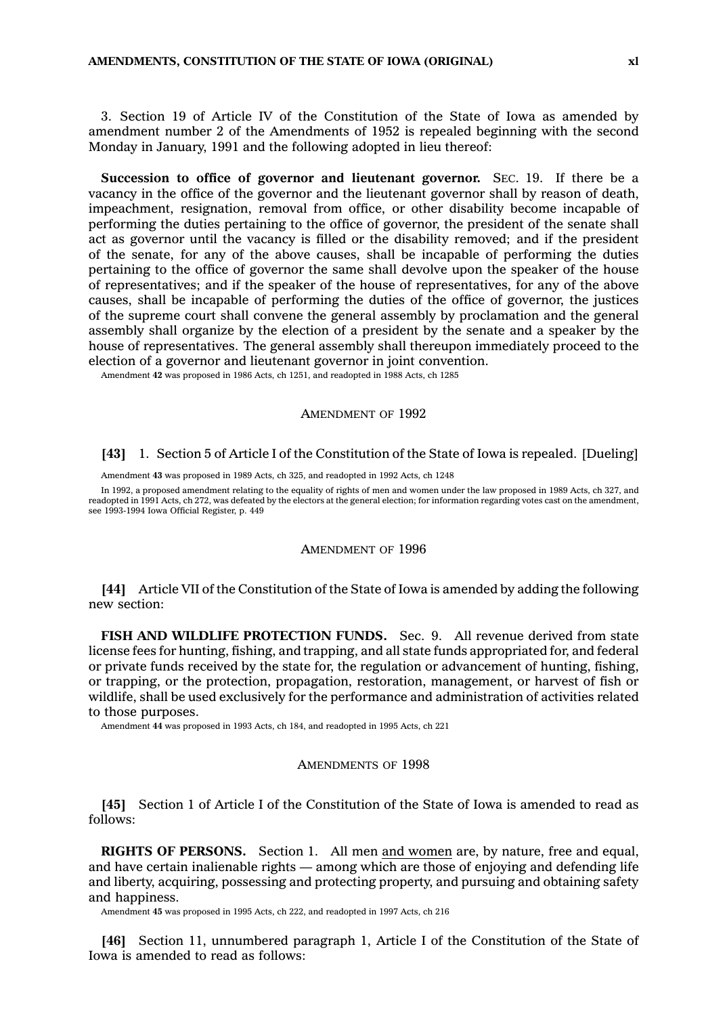3. Section 19 of Article IV of the Constitution of the State of Iowa as amended by amendment number 2 of the Amendments of 1952 is repealed beginning with the second Monday in January, 1991 and the following adopted in lieu thereof:

**Succession to office of governor and lieutenant governor.** SEC. 19. If there be <sup>a</sup> vacancy in the office of the governor and the lieutenant governor shall by reason of death, impeachment, resignation, removal from office, or other disability become incapable of performing the duties pertaining to the office of governor, the president of the senate shall act as governor until the vacancy is filled or the disability removed; and if the president of the senate, for any of the above causes, shall be incapable of performing the duties pertaining to the office of governor the same shall devolve upon the speaker of the house of representatives; and if the speaker of the house of representatives, for any of the above causes, shall be incapable of performing the duties of the office of governor, the justices of the supreme court shall convene the general assembly by proclamation and the general assembly shall organize by the election of <sup>a</sup> president by the senate and <sup>a</sup> speaker by the house of representatives. The general assembly shall thereupon immediately proceed to the election of <sup>a</sup> governor and lieutenant governor in joint convention.

Amendment **42** was proposed in 1986 Acts, ch 1251, and readopted in 1988 Acts, ch 1285

# AMENDMENT OF 1992

## **[43]** 1. Section 5 of Article I of the Constitution of the State of Iowa is repealed. [Dueling]

Amendment **43** was proposed in 1989 Acts, ch 325, and readopted in 1992 Acts, ch 1248

In 1992, <sup>a</sup> proposed amendment relating to the equality of rights of men and women under the law proposed in 1989 Acts, ch 327, and readopted in 1991 Acts, ch 272, was defeated by the electors at the general election; for information regarding votes cast on the amendment, see 1993-1994 Iowa Official Register, p. 449

## AMENDMENT OF 1996

**[44]** Article VII of the Constitution of the State of Iowa is amended by adding the following new section:

**FISH AND WILDLIFE PROTECTION FUNDS.** Sec. 9. All revenue derived from state license fees for hunting, fishing, and trapping, and all state funds appropriated for, and federal or private funds received by the state for, the regulation or advancement of hunting, fishing, or trapping, or the protection, propagation, restoration, management, or harvest of fish or wildlife, shall be used exclusively for the performance and administration of activities related to those purposes.

Amendment **44** was proposed in 1993 Acts, ch 184, and readopted in 1995 Acts, ch 221

#### AMENDMENTS OF 1998

**[45]** Section 1 of Article I of the Constitution of the State of Iowa is amended to read as follows:

**RIGHTS OF PERSONS.** Section 1. All men and women are, by nature, free and equal, and have certain inalienable rights — among which are those of enjoying and defending life and liberty, acquiring, possessing and protecting property, and pursuing and obtaining safety and happiness.

Amendment **45** was proposed in 1995 Acts, ch 222, and readopted in 1997 Acts, ch 216

**[46]** Section 11, unnumbered paragraph 1, Article I of the Constitution of the State of Iowa is amended to read as follows: